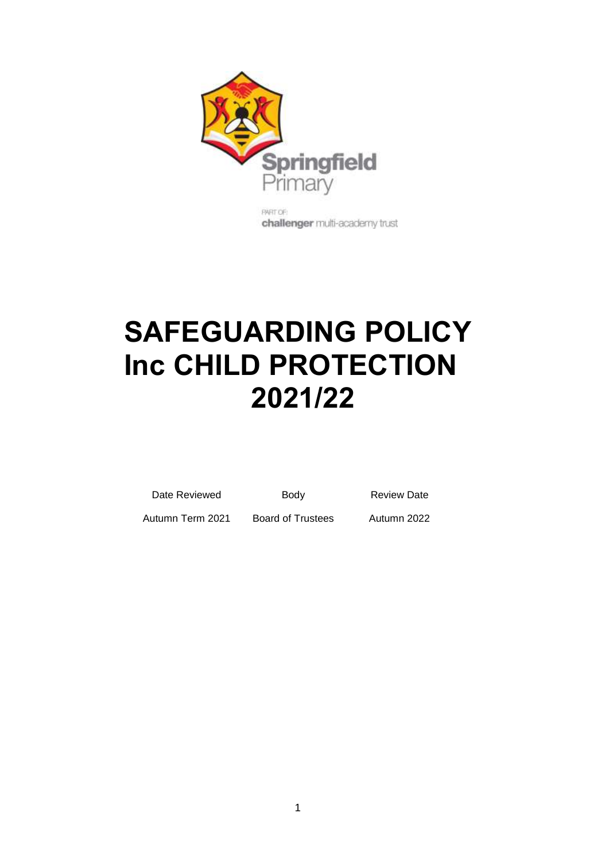

challenger multi-academy trust

# **SAFEGUARDING POLICY Inc CHILD PROTECTION 2021/22**

| Date Reviewed |  |
|---------------|--|

Body Review Date

Autumn Term 2021 Board of Trustees Autumn 2022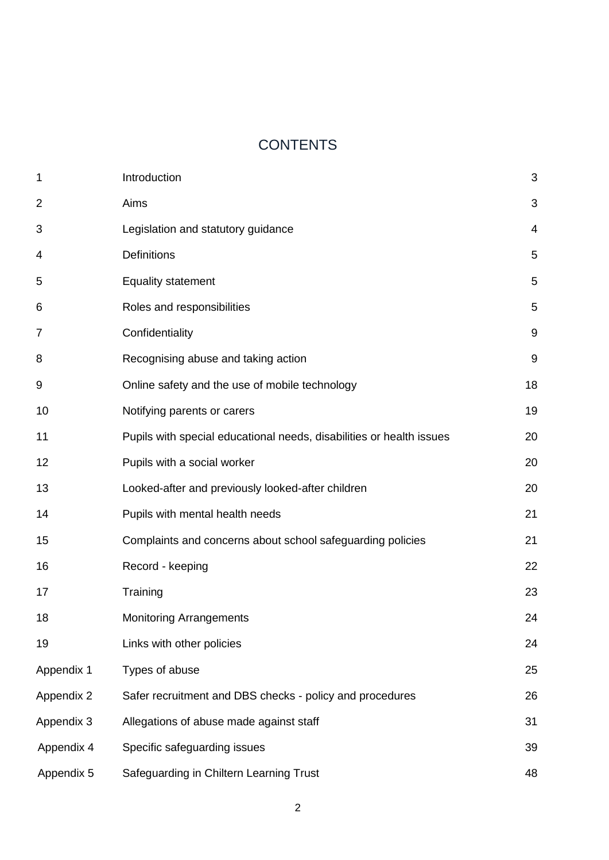# **CONTENTS**

| $\mathbf 1$    | Introduction                                                         | 3     |
|----------------|----------------------------------------------------------------------|-------|
| $\overline{2}$ | Aims                                                                 | 3     |
| 3              | Legislation and statutory guidance                                   | 4     |
| 4              | Definitions                                                          | 5     |
| 5              | <b>Equality statement</b>                                            | 5     |
| 6              | Roles and responsibilities                                           | 5     |
| $\overline{7}$ | Confidentiality                                                      | 9     |
| 8              | Recognising abuse and taking action                                  | $9\,$ |
| 9              | Online safety and the use of mobile technology                       | 18    |
| 10             | Notifying parents or carers                                          | 19    |
| 11             | Pupils with special educational needs, disabilities or health issues | 20    |
| 12             | Pupils with a social worker                                          | 20    |
| 13             | Looked-after and previously looked-after children                    | 20    |
| 14             | Pupils with mental health needs                                      | 21    |
| 15             | Complaints and concerns about school safeguarding policies           | 21    |
| 16             | Record - keeping                                                     | 22    |
| 17             | Training                                                             | 23    |
| 18             | <b>Monitoring Arrangements</b>                                       | 24    |
| 19             | Links with other policies                                            | 24    |
| Appendix 1     | Types of abuse                                                       | 25    |
| Appendix 2     | Safer recruitment and DBS checks - policy and procedures             | 26    |
| Appendix 3     | Allegations of abuse made against staff                              | 31    |
| Appendix 4     | Specific safeguarding issues                                         | 39    |
| Appendix 5     | Safeguarding in Chiltern Learning Trust                              | 48    |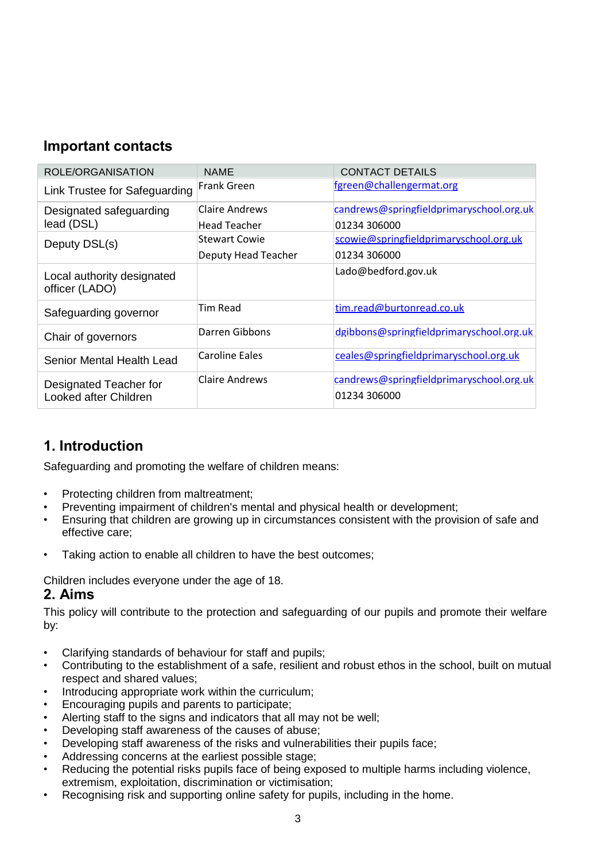# **Important contacts**

| ROLE/ORGANISATION                               | <b>NAME</b>         | <b>CONTACT DETAILS</b>                                   |
|-------------------------------------------------|---------------------|----------------------------------------------------------|
| Link Trustee for Safeguarding                   | <b>Frank Green</b>  | fgreen@challengermat.org                                 |
| Designated safeguarding                         | Claire Andrews      | candrews@springfieldprimaryschool.org.uk                 |
| lead (DSL)                                      | Head Teacher        | 01234 306000                                             |
| Deputy DSL(s)                                   | Stewart Cowie       | scowie@springfieldprimaryschool.org.uk                   |
|                                                 | Deputy Head Teacher | 01234 306000                                             |
| Local authority designated<br>officer (LADO)    |                     | Lado@bedford.gov.uk                                      |
| Safeguarding governor                           | <b>Tim Read</b>     | tim.read@burtonread.co.uk                                |
| Chair of governors                              | Darren Gibbons      | dgibbons@springfieldprimaryschool.org.uk                 |
| Senior Mental Health Lead                       | Caroline Eales      | ceales@springfieldprimaryschool.org.uk                   |
| Designated Teacher for<br>Looked after Children | Claire Andrews      | candrews@springfieldprimaryschool.org.uk<br>01234 306000 |

# **1. Introduction**

Safeguarding and promoting the welfare of children means:

- Protecting children from maltreatment;
- Preventing impairment of children's mental and physical health or development;
- Ensuring that children are growing up in circumstances consistent with the provision of safe and effective care;
- Taking action to enable all children to have the best outcomes;

Children includes everyone under the age of 18.

# **2. Aims**

This policy will contribute to the protection and safeguarding of our pupils and promote their welfare by:

- Clarifying standards of behaviour for staff and pupils;
- Contributing to the establishment of a safe, resilient and robust ethos in the school, built on mutual respect and shared values;
- Introducing appropriate work within the curriculum;
- Encouraging pupils and parents to participate;
- Alerting staff to the signs and indicators that all may not be well;
- Developing staff awareness of the causes of abuse;
- Developing staff awareness of the risks and vulnerabilities their pupils face;
- Addressing concerns at the earliest possible stage;
- Reducing the potential risks pupils face of being exposed to multiple harms including violence, extremism, exploitation, discrimination or victimisation;
- Recognising risk and supporting online safety for pupils, including in the home.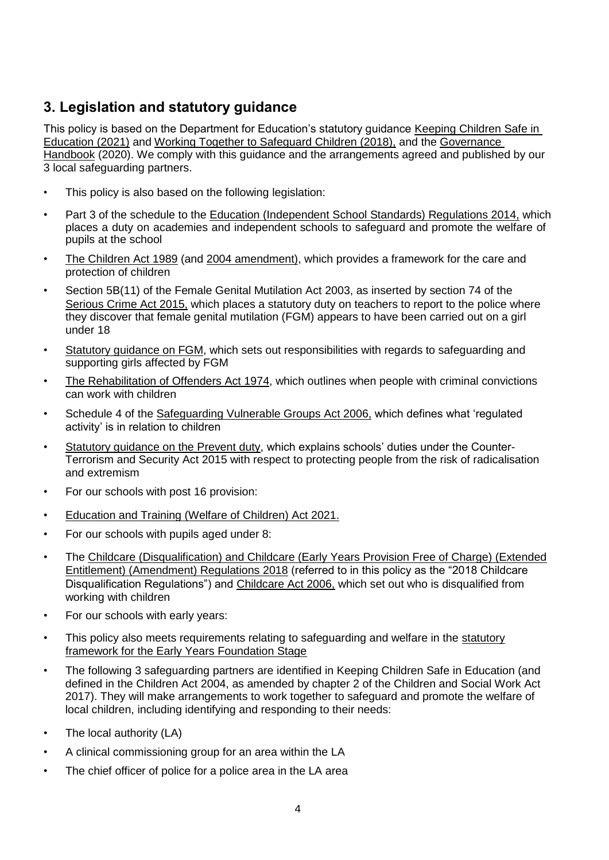# **3. Legislation and statutory guidance**

This policy is based on the Department for Education's statutory guidance [Keeping Children Safe in](https://www.gov.uk/government/publications/keeping-children-safe-in-education--2)  [Education \(2021\)](https://www.gov.uk/government/publications/keeping-children-safe-in-education--2) and [Working Together to Safeguard Children \(2018\),](https://www.gov.uk/government/publications/working-together-to-safeguard-children--2) and the Governance [Handbook](https://www.gov.uk/government/publications/governance-handbook) (2020). We comply with this guidance and the arrangements agreed and published by our 3 local safeguarding partners.

- This policy is also based on the following legislation:
- Part 3 of the schedule to the [Education \(Independent School Standards\) Regulations 2014,](http://www.legislation.gov.uk/uksi/2014/3283/schedule/part/3/made) which places a duty on academies and independent schools to safeguard and promote the welfare of pupils at the school
- The Children Act 1989 (and [2004 amendment\),](http://www.legislation.gov.uk/ukpga/2004/31/contents) which provides a framework for the care and protection of children
- Section 5B(11) of the Female Genital Mutilation Act 2003, as inserted by section 74 of the [Serious Crime Act 2015,](http://www.legislation.gov.uk/ukpga/2015/9/part/5/crossheading/female-genital-mutilation) which places a statutory duty on teachers to report to the police where they discover that female genital mutilation (FGM) appears to have been carried out on a girl under 18
- Statutory guidance on FGM, which sets out responsibilities with regards to safeguarding and supporting girls affected by FGM
- The Rehabilitation of Offenders Act 1974, which outlines when people with criminal convictions can work with children
- Schedule 4 of the [Safeguarding Vulnerable Groups](http://www.legislation.gov.uk/ukpga/2006/47/schedule/4) Act 2006, which defines what 'regulated activity' is in relation to children
- Statutory guidance on the Prevent duty, which explains schools' duties under the Counter-Terrorism and Security Act 2015 with respect to protecting people from the risk of radicalisation and extremism
- For our schools with post 16 provision:
- [Education and Training \(Welfare of Children\) Act 2021.](https://www.legislation.gov.uk/ukpga/2021/16/introduction)
- For our schools with pupils aged under 8:
- The [Childcare \(Disqualification\) and Childcare \(Early Years Provision Free of Charge\) \(Extended](http://www.legislation.gov.uk/uksi/2018/794/contents/made) [Entitlement\) \(Amendment\) Regulations 2018](http://www.legislation.gov.uk/uksi/2018/794/contents/made) (referred to in this policy as the "2018 Childcare Disqualification Regulations") and [Childcare Act 2006,](http://www.legislation.gov.uk/ukpga/2006/21/contents) which set out who is disqualified from working with children
- For our schools with early years:
- This policy also meets requirements relating to safeguarding and welfare in the [statutory](https://www.gov.uk/government/publications/early-years-foundation-stage-framework--2) [framework for the Early Years Foundation Stage](https://www.gov.uk/government/publications/early-years-foundation-stage-framework--2)
- The following 3 safeguarding partners are identified in Keeping Children Safe in Education (and defined in the Children Act 2004, as amended by chapter 2 of the Children and Social Work Act 2017). They will make arrangements to work together to safeguard and promote the welfare of local children, including identifying and responding to their needs:
- The local authority (LA)
- A clinical commissioning group for an area within the LA
- The chief officer of police for a police area in the LA area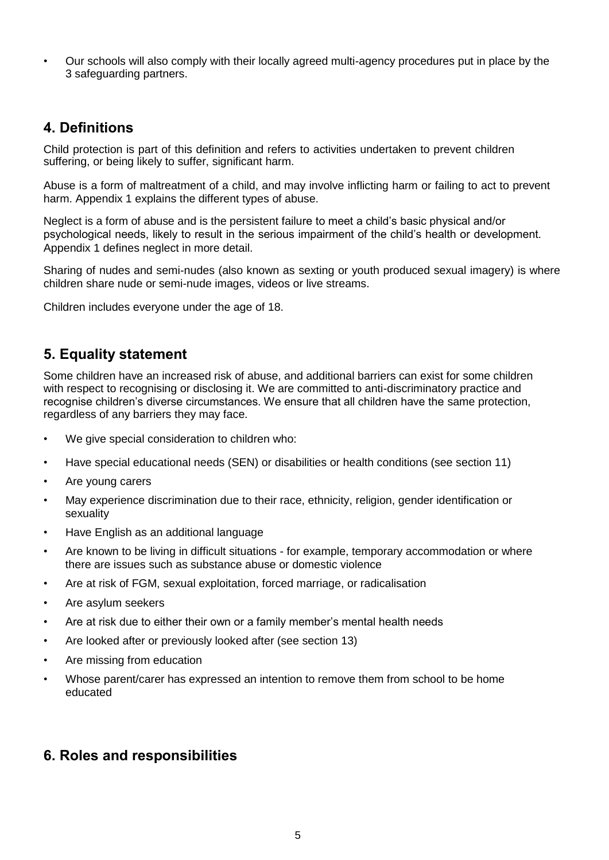• Our schools will also comply with their locally agreed multi-agency procedures put in place by the 3 safeguarding partners.

# **4. Definitions**

Child protection is part of this definition and refers to activities undertaken to prevent children suffering, or being likely to suffer, significant harm.

Abuse is a form of maltreatment of a child, and may involve inflicting harm or failing to act to prevent harm. Appendix 1 explains the different types of abuse.

Neglect is a form of abuse and is the persistent failure to meet a child's basic physical and/or psychological needs, likely to result in the serious impairment of the child's health or development. Appendix 1 defines neglect in more detail.

Sharing of nudes and semi-nudes (also known as sexting or youth produced sexual imagery) is where children share nude or semi-nude images, videos or live streams.

Children includes everyone under the age of 18.

# **5. Equality statement**

Some children have an increased risk of abuse, and additional barriers can exist for some children with respect to recognising or disclosing it. We are committed to anti-discriminatory practice and recognise children's diverse circumstances. We ensure that all children have the same protection, regardless of any barriers they may face.

- We give special consideration to children who:
- Have special educational needs (SEN) or disabilities or health conditions (see section 11)
- Are young carers
- May experience discrimination due to their race, ethnicity, religion, gender identification or sexuality
- Have English as an additional language
- Are known to be living in difficult situations for example, temporary accommodation or where there are issues such as substance abuse or domestic violence
- Are at risk of FGM, sexual exploitation, forced marriage, or radicalisation
- Are asylum seekers
- Are at risk due to either their own or a family member's mental health needs
- Are looked after or previously looked after (see section 13)
- Are missing from education
- Whose parent/carer has expressed an intention to remove them from school to be home educated

# **6. Roles and responsibilities**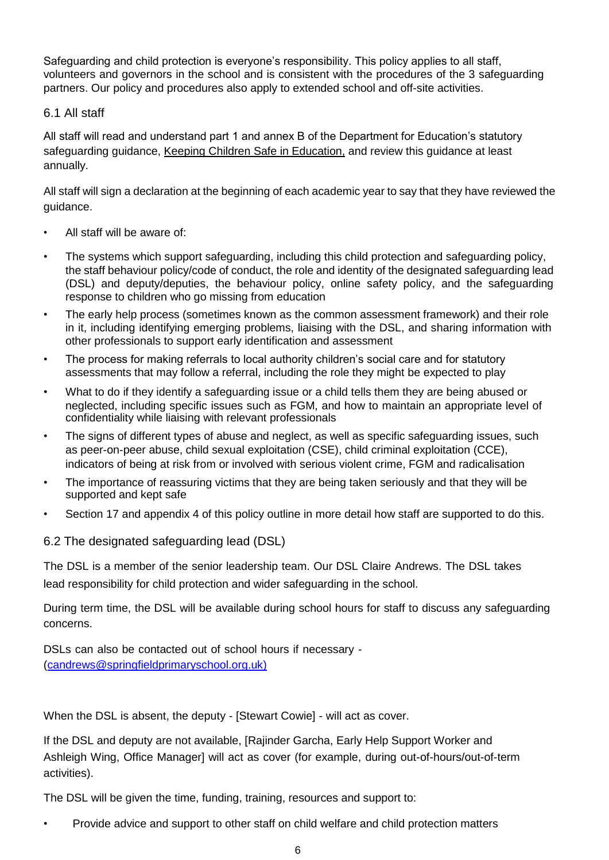Safeguarding and child protection is everyone's responsibility. This policy applies to all staff, volunteers and governors in the school and is consistent with the procedures of the 3 safeguarding partners. Our policy and procedures also apply to extended school and off-site activities.

# 6.1 All staff

All staff will read and understand part 1 and annex B of the Department for Education's statutory safeguarding guidance, [Keeping Children Safe in Education,](https://www.gov.uk/government/publications/keeping-children-safe-in-education--2) and review this guidance at least annually.

All staff will sign a declaration at the beginning of each academic year to say that they have reviewed the guidance.

- All staff will be aware of:
- The systems which support safeguarding, including this child protection and safeguarding policy, the staff behaviour policy/code of conduct, the role and identity of the designated safeguarding lead (DSL) and deputy/deputies, the behaviour policy, online safety policy, and the safeguarding response to children who go missing from education
- The early help process (sometimes known as the common assessment framework) and their role in it, including identifying emerging problems, liaising with the DSL, and sharing information with other professionals to support early identification and assessment
- The process for making referrals to local authority children's social care and for statutory assessments that may follow a referral, including the role they might be expected to play
- What to do if they identify a safeguarding issue or a child tells them they are being abused or neglected, including specific issues such as FGM, and how to maintain an appropriate level of confidentiality while liaising with relevant professionals
- The signs of different types of abuse and neglect, as well as specific safeguarding issues, such as peer-on-peer abuse, child sexual exploitation (CSE), child criminal exploitation (CCE), indicators of being at risk from or involved with serious violent crime, FGM and radicalisation
- The importance of reassuring victims that they are being taken seriously and that they will be supported and kept safe
- Section 17 and appendix 4 of this policy outline in more detail how staff are supported to do this.

# 6.2 The designated safeguarding lead (DSL)

The DSL is a member of the senior leadership team. Our DSL Claire Andrews. The DSL takes lead responsibility for child protection and wider safeguarding in the school.

During term time, the DSL will be available during school hours for staff to discuss any safeguarding concerns.

DSLs can also be contacted out of school hours if necessary - [\(candrews@springfieldprimaryschool.org.uk\)](mailto:candrews@springfieldprimaryschool.org.ukmailto:candrews@springfieldprimaryschool.org.uk)

When the DSL is absent, the deputy - [Stewart Cowie] - will act as cover.

If the DSL and deputy are not available, [Rajinder Garcha, Early Help Support Worker and Ashleigh Wing, Office Manager] will act as cover (for example, during out-of-hours/out-of-term activities).

The DSL will be given the time, funding, training, resources and support to:

• Provide advice and support to other staff on child welfare and child protection matters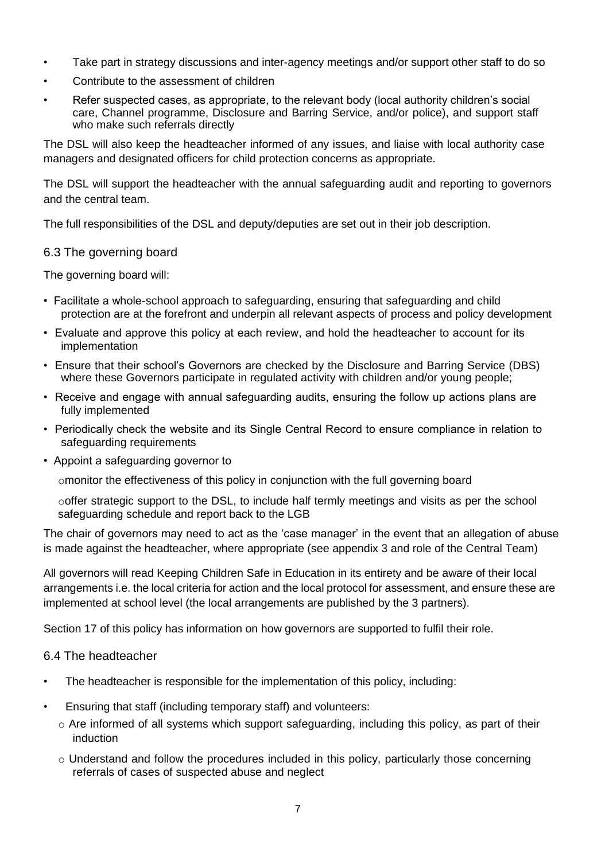- Take part in strategy discussions and inter-agency meetings and/or support other staff to do so
- Contribute to the assessment of children
- Refer suspected cases, as appropriate, to the relevant body (local authority children's social care, Channel programme, Disclosure and Barring Service, and/or police), and support staff who make such referrals directly

The DSL will also keep the headteacher informed of any issues, and liaise with local authority case managers and designated officers for child protection concerns as appropriate.

The DSL will support the headteacher with the annual safeguarding audit and reporting to governors and the central team.

The full responsibilities of the DSL and deputy/deputies are set out in their job description.

## 6.3 The governing board

The governing board will:

- Facilitate a whole-school approach to safeguarding, ensuring that safeguarding and child protection are at the forefront and underpin all relevant aspects of process and policy development
- Evaluate and approve this policy at each review, and hold the headteacher to account for its implementation
- Ensure that their school's Governors are checked by the Disclosure and Barring Service (DBS) where these Governors participate in regulated activity with children and/or young people;
- Receive and engage with annual safeguarding audits, ensuring the follow up actions plans are fully implemented
- Periodically check the website and its Single Central Record to ensure compliance in relation to safeguarding requirements
- Appoint a safeguarding governor to

omonitor the effectiveness of this policy in conjunction with the full governing board

ooffer strategic support to the DSL, to include half termly meetings and visits as per the school safeguarding schedule and report back to the LGB

The chair of governors may need to act as the 'case manager' in the event that an allegation of abuse is made against the headteacher, where appropriate (see appendix 3 and role of the Central Team)

All governors will read Keeping Children Safe in Education in its entirety and be aware of their local arrangements i.e. the local criteria for action and the local protocol for assessment, and ensure these are implemented at school level (the local arrangements are published by the 3 partners).

Section 17 of this policy has information on how governors are supported to fulfil their role.

## 6.4 The headteacher

- The headteacher is responsible for the implementation of this policy, including:
- Ensuring that staff (including temporary staff) and volunteers:
	- o Are informed of all systems which support safeguarding, including this policy, as part of their induction
	- $\circ$  Understand and follow the procedures included in this policy, particularly those concerning referrals of cases of suspected abuse and neglect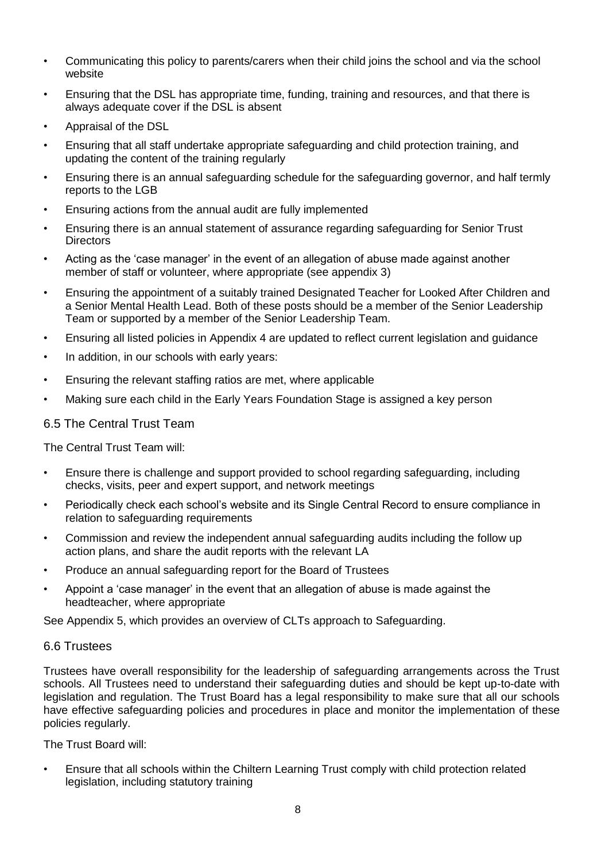- Communicating this policy to parents/carers when their child joins the school and via the school website
- Ensuring that the DSL has appropriate time, funding, training and resources, and that there is always adequate cover if the DSL is absent
- Appraisal of the DSL
- Ensuring that all staff undertake appropriate safeguarding and child protection training, and updating the content of the training regularly
- Ensuring there is an annual safeguarding schedule for the safeguarding governor, and half termly reports to the LGB
- Ensuring actions from the annual audit are fully implemented
- Ensuring there is an annual statement of assurance regarding safeguarding for Senior Trust **Directors**
- Acting as the 'case manager' in the event of an allegation of abuse made against another member of staff or volunteer, where appropriate (see appendix 3)
- Ensuring the appointment of a suitably trained Designated Teacher for Looked After Children and a Senior Mental Health Lead. Both of these posts should be a member of the Senior Leadership Team or supported by a member of the Senior Leadership Team.
- Ensuring all listed policies in Appendix 4 are updated to reflect current legislation and guidance
- In addition, in our schools with early years:
- Ensuring the relevant staffing ratios are met, where applicable
- Making sure each child in the Early Years Foundation Stage is assigned a key person

## 6.5 The Central Trust Team

The Central Trust Team will:

- Ensure there is challenge and support provided to school regarding safeguarding, including checks, visits, peer and expert support, and network meetings
- Periodically check each school's website and its Single Central Record to ensure compliance in relation to safeguarding requirements
- Commission and review the independent annual safeguarding audits including the follow up action plans, and share the audit reports with the relevant LA
- Produce an annual safeguarding report for the Board of Trustees
- Appoint a 'case manager' in the event that an allegation of abuse is made against the headteacher, where appropriate

See Appendix 5, which provides an overview of CLTs approach to Safeguarding.

## 6.6 Trustees

Trustees have overall responsibility for the leadership of safeguarding arrangements across the Trust schools. All Trustees need to understand their safeguarding duties and should be kept up-to-date with legislation and regulation. The Trust Board has a legal responsibility to make sure that all our schools have effective safeguarding policies and procedures in place and monitor the implementation of these policies regularly.

The Trust Board will:

• Ensure that all schools within the Chiltern Learning Trust comply with child protection related legislation, including statutory training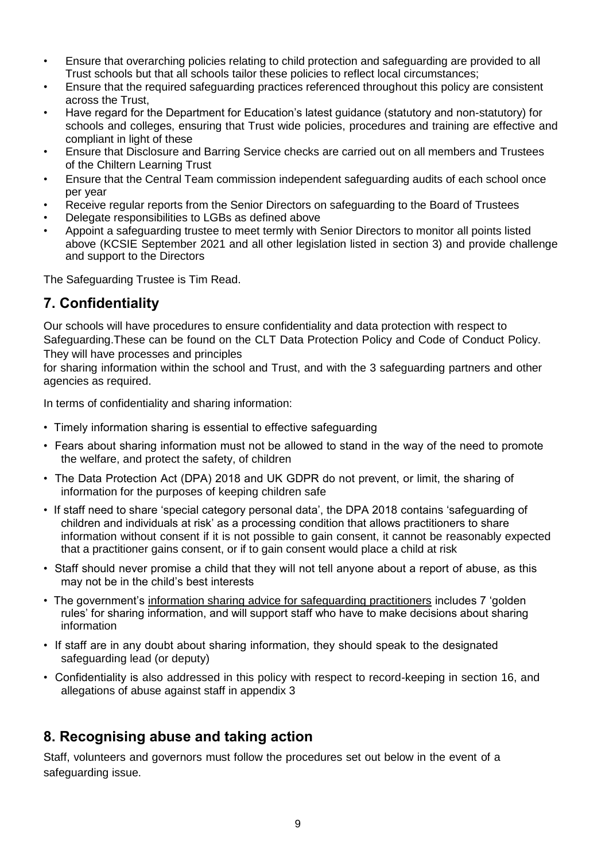- Ensure that overarching policies relating to child protection and safeguarding are provided to all Trust schools but that all schools tailor these policies to reflect local circumstances;
- Ensure that the required safeguarding practices referenced throughout this policy are consistent across the Trust,
- Have regard for the Department for Education's latest guidance (statutory and non-statutory) for schools and colleges, ensuring that Trust wide policies, procedures and training are effective and compliant in light of these
- Ensure that Disclosure and Barring Service checks are carried out on all members and Trustees of the Chiltern Learning Trust
- Ensure that the Central Team commission independent safeguarding audits of each school once per year
- Receive regular reports from the Senior Directors on safeguarding to the Board of Trustees
- Delegate responsibilities to LGBs as defined above
- Appoint a safeguarding trustee to meet termly with Senior Directors to monitor all points listed above (KCSIE September 2021 and all other legislation listed in section 3) and provide challenge and support to the Directors

The Safeguarding Trustee is Tim Read.

# **7. Confidentiality**

Our schools will have procedures to ensure confidentiality and data protection with respect to Safeguarding.These can be found on the CLT Data Protection Policy and Code of Conduct Policy. They will have processes and principles

for sharing information within the school and Trust, and with the 3 safeguarding partners and other agencies as required.

In terms of confidentiality and sharing information:

- Timely information sharing is essential to effective safeguarding
- Fears about sharing information must not be allowed to stand in the way of the need to promote the welfare, and protect the safety, of children
- The Data Protection Act (DPA) 2018 and UK GDPR do not prevent, or limit, the sharing of information for the purposes of keeping children safe
- If staff need to share 'special category personal data', the DPA 2018 contains 'safeguarding of children and individuals at risk' as a processing condition that allows practitioners to share information without consent if it is not possible to gain consent, it cannot be reasonably expected that a practitioner gains consent, or if to gain consent would place a child at risk
- Staff should never promise a child that they will not tell anyone about a report of abuse, as this may not be in the child's best interests
- The government's [information sharing advice for safeguarding practitioners](https://www.gov.uk/government/publications/safeguarding-practitioners-information-sharing-advice) includes 7 'golden rules' for sharing information, and will support staff who have to make decisions about sharing information
- If staff are in any doubt about sharing information, they should speak to the designated safeguarding lead (or deputy)
- Confidentiality is also addressed in this policy with respect to record-keeping in section 16, and allegations of abuse against staff in appendix 3

# **8. Recognising abuse and taking action**

Staff, volunteers and governors must follow the procedures set out below in the event of a safeguarding issue.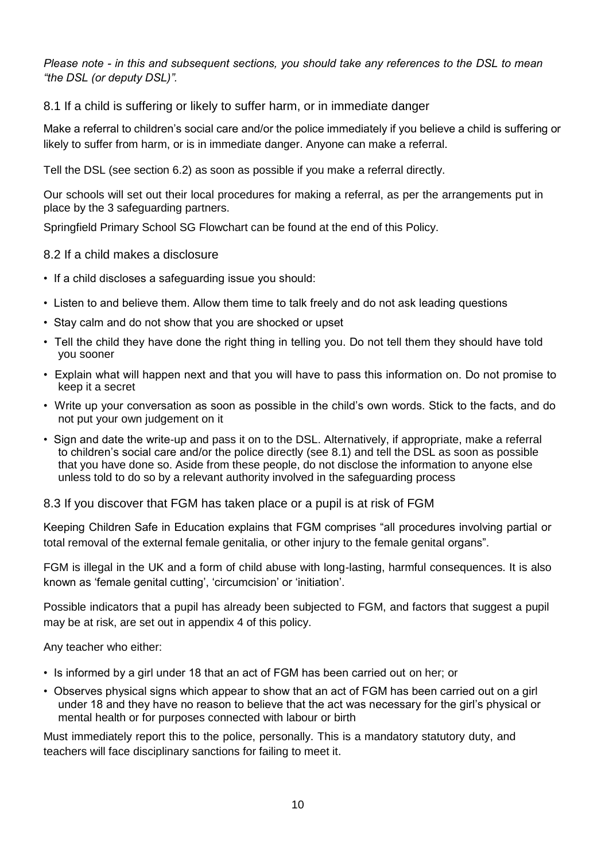*Please note - in this and subsequent sections, you should take any references to the DSL to mean "the DSL (or deputy DSL)".*

8.1 If a child is suffering or likely to suffer harm, or in immediate danger

Make a referral to children's social care and/or the police immediately if you believe a child is suffering or likely to suffer from harm, or is in immediate danger. Anyone can make a referral.

Tell the DSL (see section 6.2) as soon as possible if you make a referral directly.

Our schools will set out their local procedures for making a referral, as per the arrangements put in place by the 3 safeguarding partners.

Springfield Primary School SG Flowchart can be found at the end of this Policy.

# 8.2 If a child makes a disclosure

- If a child discloses a safeguarding issue you should:
- Listen to and believe them. Allow them time to talk freely and do not ask leading questions
- Stay calm and do not show that you are shocked or upset
- Tell the child they have done the right thing in telling you. Do not tell them they should have told you sooner
- Explain what will happen next and that you will have to pass this information on. Do not promise to keep it a secret
- Write up your conversation as soon as possible in the child's own words. Stick to the facts, and do not put your own judgement on it
- Sign and date the write-up and pass it on to the DSL. Alternatively, if appropriate, make a referral to children's social care and/or the police directly (see 8.1) and tell the DSL as soon as possible that you have done so. Aside from these people, do not disclose the information to anyone else unless told to do so by a relevant authority involved in the safeguarding process

## 8.3 If you discover that FGM has taken place or a pupil is at risk of FGM

Keeping Children Safe in Education explains that FGM comprises "all procedures involving partial or total removal of the external female genitalia, or other injury to the female genital organs".

FGM is illegal in the UK and a form of child abuse with long-lasting, harmful consequences. It is also known as 'female genital cutting', 'circumcision' or 'initiation'.

Possible indicators that a pupil has already been subjected to FGM, and factors that suggest a pupil may be at risk, are set out in appendix 4 of this policy.

Any teacher who either:

- Is informed by a girl under 18 that an act of FGM has been carried out on her; or
- Observes physical signs which appear to show that an act of FGM has been carried out on a girl under 18 and they have no reason to believe that the act was necessary for the girl's physical or mental health or for purposes connected with labour or birth

Must immediately report this to the police, personally. This is a mandatory statutory duty, and teachers will face disciplinary sanctions for failing to meet it.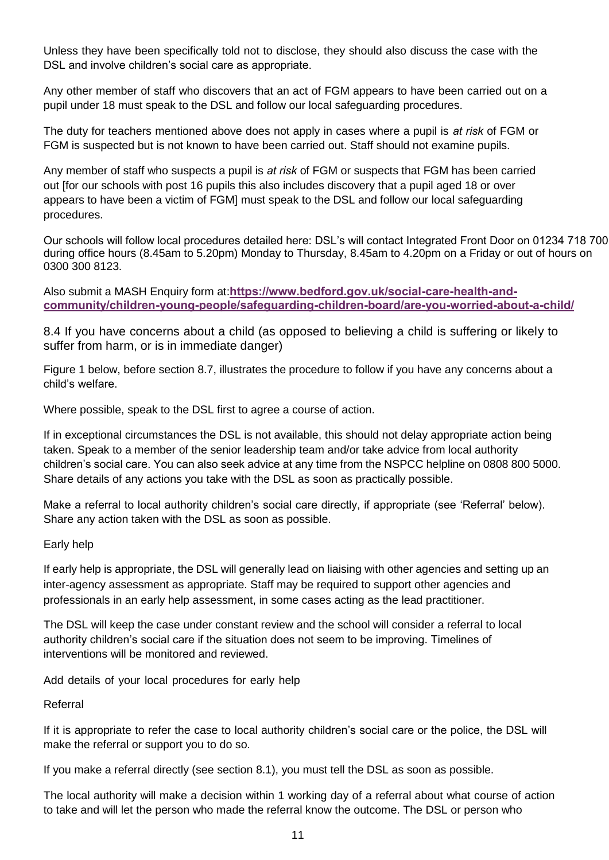Unless they have been specifically told not to disclose, they should also discuss the case with the DSL and involve children's social care as appropriate.

Any other member of staff who discovers that an act of FGM appears to have been carried out on a pupil under 18 must speak to the DSL and follow our local safeguarding procedures.

The duty for teachers mentioned above does not apply in cases where a pupil is *at risk* of FGM or FGM is suspected but is not known to have been carried out. Staff should not examine pupils.

Any member of staff who suspects a pupil is *at risk* of FGM or suspects that FGM has been carried out [for our schools with post 16 pupils this also includes discovery that a pupil aged 18 or over appears to have been a victim of FGM] must speak to the DSL and follow our local safeguarding procedures.

Our schools will follow local procedures detailed here: DSL's will contact Integrated Front Door on 01234 718 700 during office hours (8.45am to 5.20pm) Monday to Thursday, 8.45am to 4.20pm on a Friday or out of hours on 0300 300 8123.

Also submit a MASH Enquiry form at:**[https://www.bedford.gov.uk/social-care-health-and](https://www.bedford.gov.uk/social-care-health-and-community/children-young-people/safeguarding-children-board/are-you-worried-about-a-child/https:/www.bedford.gov.uk/social-care-health-and-community/children-young-people/safeguarding-children-board/are-you-worried-about-a-child/)[community/children-young-people/safeguarding-children-board/are-you-worried-about-a-child/](https://www.bedford.gov.uk/social-care-health-and-community/children-young-people/safeguarding-children-board/are-you-worried-about-a-child/)**

8.4 If you have concerns about a child (as opposed to believing a child is suffering or likely to suffer from harm, or is in immediate danger)

Figure 1 below, before section 8.7, illustrates the procedure to follow if you have any concerns about a child's welfare.

Where possible, speak to the DSL first to agree a course of action.

If in exceptional circumstances the DSL is not available, this should not delay appropriate action being taken. Speak to a member of the senior leadership team and/or take advice from local authority children's social care. You can also seek advice at any time from the NSPCC helpline on 0808 800 5000. Share details of any actions you take with the DSL as soon as practically possible.

Make a referral to local authority children's social care directly, if appropriate (see 'Referral' below). Share any action taken with the DSL as soon as possible.

#### Early help

If early help is appropriate, the DSL will generally lead on liaising with other agencies and setting up an inter-agency assessment as appropriate. Staff may be required to support other agencies and professionals in an early help assessment, in some cases acting as the lead practitioner.

The DSL will keep the case under constant review and the school will consider a referral to local authority children's social care if the situation does not seem to be improving. Timelines of interventions will be monitored and reviewed.

Add details of your local procedures for early help

Referral

If it is appropriate to refer the case to local authority children's social care or the police, the DSL will make the referral or support you to do so.

If you make a referral directly (see section 8.1), you must tell the DSL as soon as possible.

The local authority will make a decision within 1 working day of a referral about what course of action to take and will let the person who made the referral know the outcome. The DSL or person who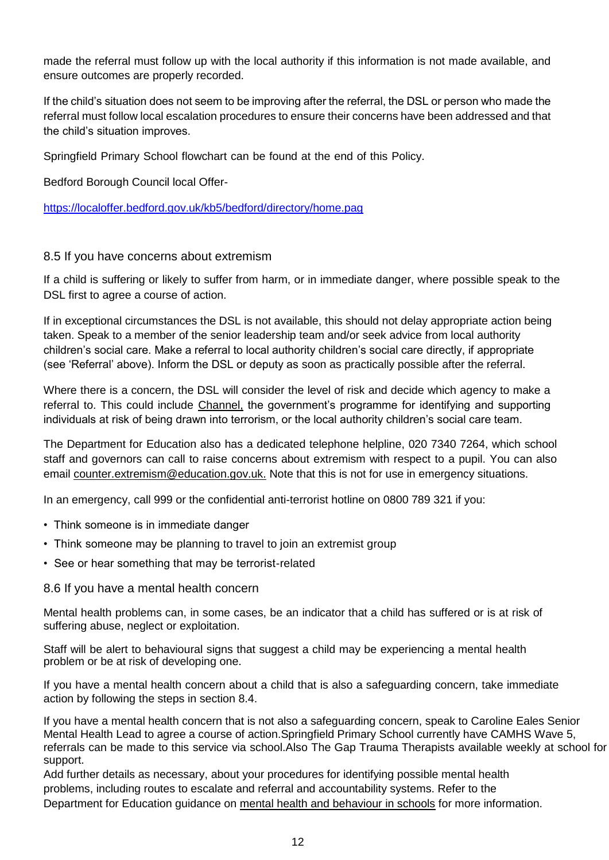made the referral must follow up with the local authority if this information is not made available, and ensure outcomes are properly recorded.

If the child's situation does not seem to be improving after the referral, the DSL or person who made the referral must follow local escalation procedures to ensure their concerns have been addressed and that the child's situation improves.

Springfield Primary School flowchart can be found at the end of this Policy.

Bedford Borough Council local Offer-

<https://localoffer.bedford.gov.uk/kb5/bedford/directory/home.pag>

## 8.5 If you have concerns about extremism

If a child is suffering or likely to suffer from harm, or in immediate danger, where possible speak to the DSL first to agree a course of action.

If in exceptional circumstances the DSL is not available, this should not delay appropriate action being taken. Speak to a member of the senior leadership team and/or seek advice from local authority children's social care. Make a referral to local authority children's social care directly, if appropriate (see 'Referral' above). Inform the DSL or deputy as soon as practically possible after the referral.

Where there is a concern, the DSL will consider the level of risk and decide which agency to make a referral to. This could include [Channel,](https://www.gov.uk/government/publications/channel-guidance) the government's programme for identifying and supporting individuals at risk of being drawn into terrorism, or the local authority children's social care team.

The Department for Education also has a dedicated telephone helpline, 020 7340 7264, which school staff and governors can call to raise concerns about extremism with respect to a pupil. You can also email [counter.extremism@education.gov.uk.](mailto:counter.extremism@education.gov.uk) Note that this is not for use in emergency situations.

In an emergency, call 999 or the confidential anti-terrorist hotline on 0800 789 321 if you:

- Think someone is in immediate danger
- Think someone may be planning to travel to join an extremist group
- See or hear something that may be terrorist-related

#### 8.6 If you have a mental health concern

Mental health problems can, in some cases, be an indicator that a child has suffered or is at risk of suffering abuse, neglect or exploitation.

Staff will be alert to behavioural signs that suggest a child may be experiencing a mental health problem or be at risk of developing one.

If you have a mental health concern about a child that is also a safeguarding concern, take immediate action by following the steps in section 8.4.

If you have a mental health concern that is not also a safeguarding concern, speak to Caroline Eales Senior Mental Health Lead to agree a course of action.Springfield Primary School currently have CAMHS Wave 5, referrals can be made to this service via school.Also The Gap Trauma Therapists available weekly at school for support.

Add further details as necessary, about your procedures for identifying possible mental health problems, including routes to escalate and referral and accountability systems. Refer to the Department for Education guidance on [mental health and behaviour in schools](https://www.gov.uk/government/publications/mental-health-and-behaviour-in-schools--2) for more information.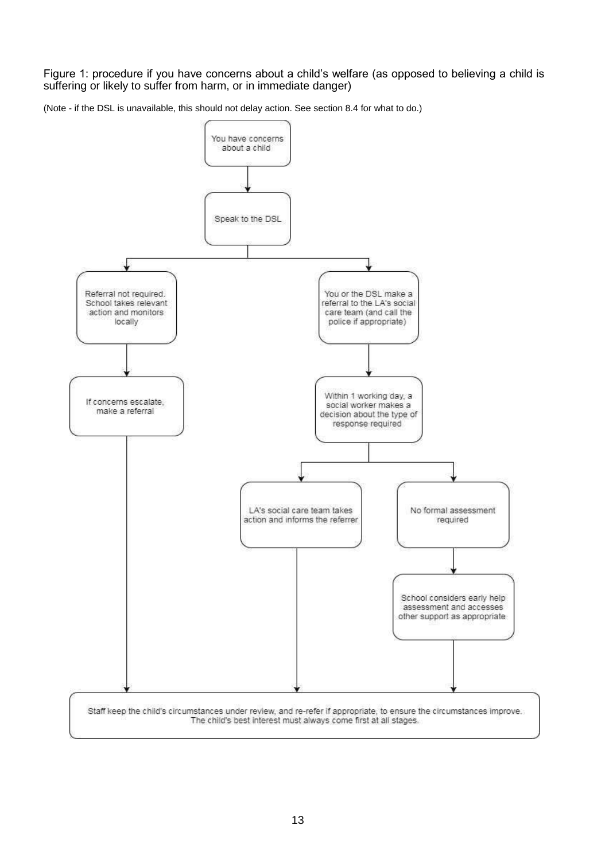Figure 1: procedure if you have concerns about a child's welfare (as opposed to believing a child is suffering or likely to suffer from harm, or in immediate danger)

(Note - if the DSL is unavailable, this should not delay action. See section 8.4 for what to do.)

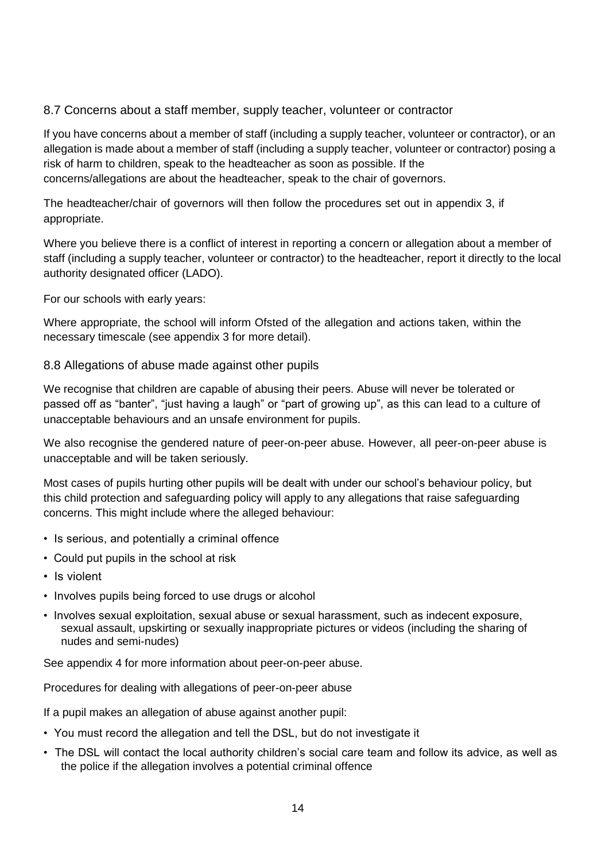# 8.7 Concerns about a staff member, supply teacher, volunteer or contractor

If you have concerns about a member of staff (including a supply teacher, volunteer or contractor), or an allegation is made about a member of staff (including a supply teacher, volunteer or contractor) posing a risk of harm to children, speak to the headteacher as soon as possible. If the concerns/allegations are about the headteacher, speak to the chair of governors.

The headteacher/chair of governors will then follow the procedures set out in appendix 3, if appropriate.

Where you believe there is a conflict of interest in reporting a concern or allegation about a member of staff (including a supply teacher, volunteer or contractor) to the headteacher, report it directly to the local authority designated officer (LADO).

For our schools with early years:

Where appropriate, the school will inform Ofsted of the allegation and actions taken, within the necessary timescale (see appendix 3 for more detail).

## 8.8 Allegations of abuse made against other pupils

We recognise that children are capable of abusing their peers. Abuse will never be tolerated or passed off as "banter", "just having a laugh" or "part of growing up", as this can lead to a culture of unacceptable behaviours and an unsafe environment for pupils.

We also recognise the gendered nature of peer-on-peer abuse. However, all peer-on-peer abuse is unacceptable and will be taken seriously.

Most cases of pupils hurting other pupils will be dealt with under our school's behaviour policy, but this child protection and safeguarding policy will apply to any allegations that raise safeguarding concerns. This might include where the alleged behaviour:

- Is serious, and potentially a criminal offence
- Could put pupils in the school at risk
- Is violent
- Involves pupils being forced to use drugs or alcohol
- Involves sexual exploitation, sexual abuse or sexual harassment, such as indecent exposure, sexual assault, upskirting or sexually inappropriate pictures or videos (including the sharing of nudes and semi-nudes)

See appendix 4 for more information about peer-on-peer abuse.

Procedures for dealing with allegations of peer-on-peer abuse

If a pupil makes an allegation of abuse against another pupil:

- You must record the allegation and tell the DSL, but do not investigate it
- The DSL will contact the local authority children's social care team and follow its advice, as well as the police if the allegation involves a potential criminal offence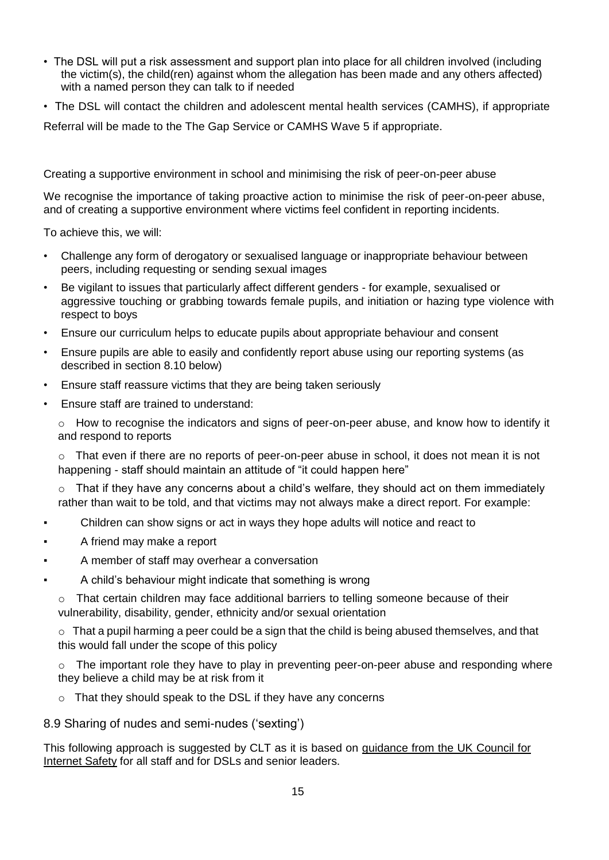- The DSL will put a risk assessment and support plan into place for all children involved (including the victim(s), the child(ren) against whom the allegation has been made and any others affected) with a named person they can talk to if needed
- The DSL will contact the children and adolescent mental health services (CAMHS), if appropriate

Referral will be made to the The Gap Service or CAMHS Wave 5 if appropriate.

Creating a supportive environment in school and minimising the risk of peer-on-peer abuse

We recognise the importance of taking proactive action to minimise the risk of peer-on-peer abuse, and of creating a supportive environment where victims feel confident in reporting incidents.

To achieve this, we will:

- Challenge any form of derogatory or sexualised language or inappropriate behaviour between peers, including requesting or sending sexual images
- Be vigilant to issues that particularly affect different genders for example, sexualised or aggressive touching or grabbing towards female pupils, and initiation or hazing type violence with respect to boys
- Ensure our curriculum helps to educate pupils about appropriate behaviour and consent
- Ensure pupils are able to easily and confidently report abuse using our reporting systems (as described in section 8.10 below)
- Ensure staff reassure victims that they are being taken seriously
- Ensure staff are trained to understand:

o How to recognise the indicators and signs of peer-on-peer abuse, and know how to identify it and respond to reports

 $\circ$  That even if there are no reports of peer-on-peer abuse in school, it does not mean it is not happening - staff should maintain an attitude of "it could happen here"

 $\circ$  That if they have any concerns about a child's welfare, they should act on them immediately rather than wait to be told, and that victims may not always make a direct report. For example:

- Children can show signs or act in ways they hope adults will notice and react to
- A friend may make a report
- A member of staff may overhear a conversation
- A child's behaviour might indicate that something is wrong
	- $\circ$  That certain children may face additional barriers to telling someone because of their vulnerability, disability, gender, ethnicity and/or sexual orientation

 $\circ$  That a pupil harming a peer could be a sign that the child is being abused themselves, and that this would fall under the scope of this policy

 $\circ$  The important role they have to play in preventing peer-on-peer abuse and responding where they believe a child may be at risk from it

o That they should speak to the DSL if they have any concerns

8.9 Sharing of nudes and semi-nudes ('sexting')

This following approach is suggested by CLT as it is based on [guidance from the UK Council for](https://www.gov.uk/government/publications/sharing-nudes-and-semi-nudes-advice-for-education-settings-working-with-children-and-young-people)  [Internet Safety](https://www.gov.uk/government/publications/sharing-nudes-and-semi-nudes-advice-for-education-settings-working-with-children-and-young-people) for all staff and for [DSLs and senior leaders.](https://assets.publishing.service.gov.uk/government/uploads/system/uploads/attachment_data/file/609874/6_2939_SP_NCA_Sexting_In_Schools_FINAL_Update_Jan17.pdf)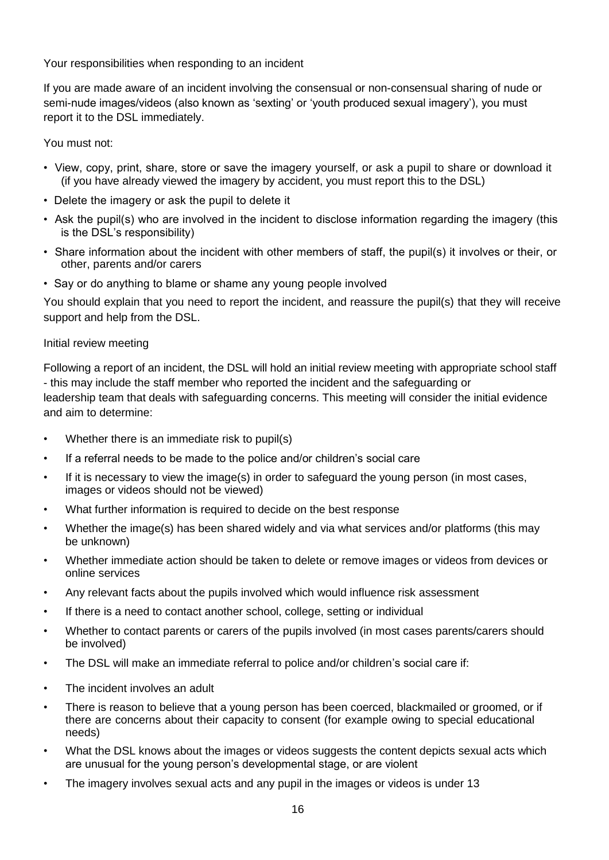Your responsibilities when responding to an incident

If you are made aware of an incident involving the consensual or non-consensual sharing of nude or semi-nude images/videos (also known as 'sexting' or 'youth produced sexual imagery'), you must report it to the DSL immediately.

You must not:

- View, copy, print, share, store or save the imagery yourself, or ask a pupil to share or download it (if you have already viewed the imagery by accident, you must report this to the DSL)
- Delete the imagery or ask the pupil to delete it
- Ask the pupil(s) who are involved in the incident to disclose information regarding the imagery (this is the DSL's responsibility)
- Share information about the incident with other members of staff, the pupil(s) it involves or their, or other, parents and/or carers
- Say or do anything to blame or shame any young people involved

You should explain that you need to report the incident, and reassure the pupil(s) that they will receive support and help from the DSL.

## Initial review meeting

Following a report of an incident, the DSL will hold an initial review meeting with appropriate school staff - this may include the staff member who reported the incident and the safeguarding or leadership team that deals with safeguarding concerns. This meeting will consider the initial evidence and aim to determine:

- Whether there is an immediate risk to pupil(s)
- If a referral needs to be made to the police and/or children's social care
- If it is necessary to view the image(s) in order to safeguard the young person (in most cases, images or videos should not be viewed)
- What further information is required to decide on the best response
- Whether the image(s) has been shared widely and via what services and/or platforms (this may be unknown)
- Whether immediate action should be taken to delete or remove images or videos from devices or online services
- Any relevant facts about the pupils involved which would influence risk assessment
- If there is a need to contact another school, college, setting or individual
- Whether to contact parents or carers of the pupils involved (in most cases parents/carers should be involved)
- The DSL will make an immediate referral to police and/or children's social care if:
- The incident involves an adult
- There is reason to believe that a young person has been coerced, blackmailed or groomed, or if there are concerns about their capacity to consent (for example owing to special educational needs)
- What the DSL knows about the images or videos suggests the content depicts sexual acts which are unusual for the young person's developmental stage, or are violent
- The imagery involves sexual acts and any pupil in the images or videos is under 13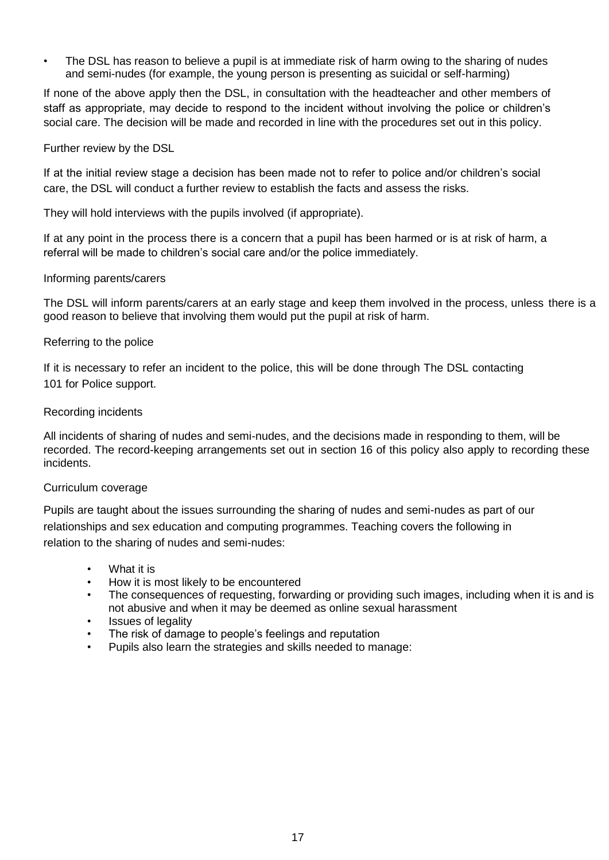The DSL has reason to believe a pupil is at immediate risk of harm owing to the sharing of nudes and semi-nudes (for example, the young person is presenting as suicidal or self-harming)

If none of the above apply then the DSL, in consultation with the headteacher and other members of staff as appropriate, may decide to respond to the incident without involving the police or children's social care. The decision will be made and recorded in line with the procedures set out in this policy.

#### Further review by the DSL

If at the initial review stage a decision has been made not to refer to police and/or children's social care, the DSL will conduct a further review to establish the facts and assess the risks.

They will hold interviews with the pupils involved (if appropriate).

If at any point in the process there is a concern that a pupil has been harmed or is at risk of harm, a referral will be made to children's social care and/or the police immediately.

#### Informing parents/carers

The DSL will inform parents/carers at an early stage and keep them involved in the process, unless there is a good reason to believe that involving them would put the pupil at risk of harm.

#### Referring to the police

If it is necessary to refer an incident to the police, this will be done through The DSL contacting 101 for Police support.

#### Recording incidents

All incidents of sharing of nudes and semi-nudes, and the decisions made in responding to them, will be recorded. The record-keeping arrangements set out in section 16 of this policy also apply to recording these incidents.

#### Curriculum coverage

Pupils are taught about the issues surrounding the sharing of nudes and semi-nudes as part of our relationships and sex education and computing programmes. Teaching covers the following in relation to the sharing of nudes and semi-nudes:

- What it is
- How it is most likely to be encountered
- The consequences of requesting, forwarding or providing such images, including when it is and is not abusive and when it may be deemed as online sexual harassment
- Issues of legality
- The risk of damage to people's feelings and reputation
- Pupils also learn the strategies and skills needed to manage: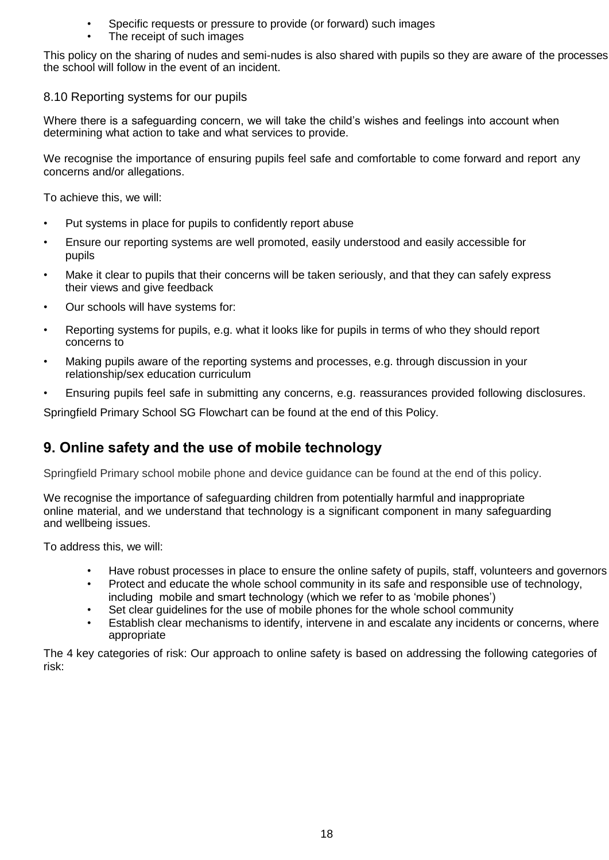- Specific requests or pressure to provide (or forward) such images
- The receipt of such images

This policy on the sharing of nudes and semi-nudes is also shared with pupils so they are aware of the processes the school will follow in the event of an incident.

## 8.10 Reporting systems for our pupils

Where there is a safeguarding concern, we will take the child's wishes and feelings into account when determining what action to take and what services to provide.

We recognise the importance of ensuring pupils feel safe and comfortable to come forward and report any concerns and/or allegations.

To achieve this, we will:

- Put systems in place for pupils to confidently report abuse
- Ensure our reporting systems are well promoted, easily understood and easily accessible for pupils
- Make it clear to pupils that their concerns will be taken seriously, and that they can safely express their views and give feedback
- Our schools will have systems for:
- Reporting systems for pupils, e.g. what it looks like for pupils in terms of who they should report concerns to
- Making pupils aware of the reporting systems and processes, e.g. through discussion in your relationship/sex education curriculum
- Ensuring pupils feel safe in submitting any concerns, e.g. reassurances provided following disclosures.

Springfield Primary School SG Flowchart can be found at the end of this Policy.

# **9. Online safety and the use of mobile technology**

Springfield Primary school mobile phone and device guidance can be found at the end of this policy.

We recognise the importance of safeguarding children from potentially harmful and inappropriate online material, and we understand that technology is a significant component in many safeguarding and wellbeing issues.

To address this, we will:

- Have robust processes in place to ensure the online safety of pupils, staff, volunteers and governors
- Protect and educate the whole school community in its safe and responsible use of technology, including mobile and smart technology (which we refer to as 'mobile phones')
- Set clear quidelines for the use of mobile phones for the whole school community
- Establish clear mechanisms to identify, intervene in and escalate any incidents or concerns, where appropriate

The 4 key categories of risk: Our approach to online safety is based on addressing the following categories of risk: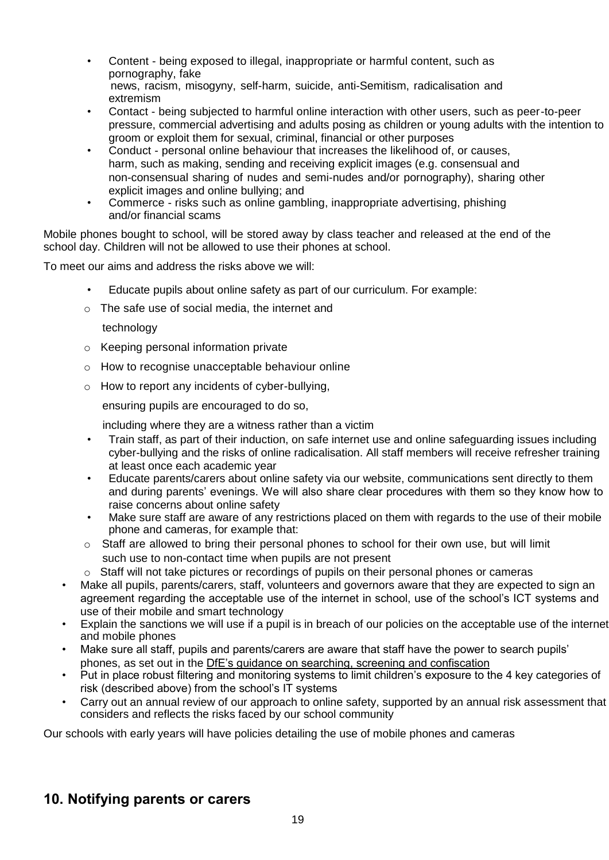- Content being exposed to illegal, inappropriate or harmful content, such as pornography, fake news, racism, misogyny, self-harm, suicide, anti-Semitism, radicalisation and extremism
- Contact being subjected to harmful online interaction with other users, such as peer-to-peer pressure, commercial advertising and adults posing as children or young adults with the intention to groom or exploit them for sexual, criminal, financial or other purposes
- Conduct personal online behaviour that increases the likelihood of, or causes, harm, such as making, sending and receiving explicit images (e.g. consensual and non-consensual sharing of nudes and semi-nudes and/or pornography), sharing other explicit images and online bullying; and
- Commerce risks such as online gambling, inappropriate advertising, phishing and/or financial scams

Mobile phones bought to school, will be stored away by class teacher and released at the end of the school day. Children will not be allowed to use their phones at school.

To meet our aims and address the risks above we will:

- Educate pupils about online safety as part of our curriculum. For example:
- o The safe use of social media, the internet and

technology

- o Keeping personal information private
- o How to recognise unacceptable behaviour online
- $\circ$  How to report any incidents of cyber-bullying,

ensuring pupils are encouraged to do so,

including where they are a witness rather than a victim

- Train staff, as part of their induction, on safe internet use and online safeguarding issues including cyber-bullying and the risks of online radicalisation. All staff members will receive refresher training at least once each academic year
- Educate parents/carers about online safety via our website, communications sent directly to them and during parents' evenings. We will also share clear procedures with them so they know how to raise concerns about online safety
- Make sure staff are aware of any restrictions placed on them with regards to the use of their mobile phone and cameras, for example that:
- o Staff are allowed to bring their personal phones to school for their own use, but will limit such use to non-contact time when pupils are not present
- o Staff will not take pictures or recordings of pupils on their personal phones or cameras
- Make all pupils, parents/carers, staff, volunteers and governors aware that they are expected to sign an agreement regarding the acceptable use of the internet in school, use of the school's ICT systems and use of their mobile and smart technology
- Explain the sanctions we will use if a pupil is in breach of our policies on the acceptable use of the internet and mobile phones
- Make sure all staff, pupils and parents/carers are aware that staff have the power to search pupils' phones, as set out in the [DfE's guidance on searching, screening and confiscation](https://www.gov.uk/government/publications/searching-screening-and-confiscation)
- Put in place robust filtering and monitoring systems to limit children's exposure to the 4 key categories of risk (described above) from the school's IT systems
- Carry out an annual review of our approach to online safety, supported by an annual risk assessment that considers and reflects the risks faced by our school community

Our schools with early years will have policies detailing the use of mobile phones and cameras

# **10. Notifying parents or carers**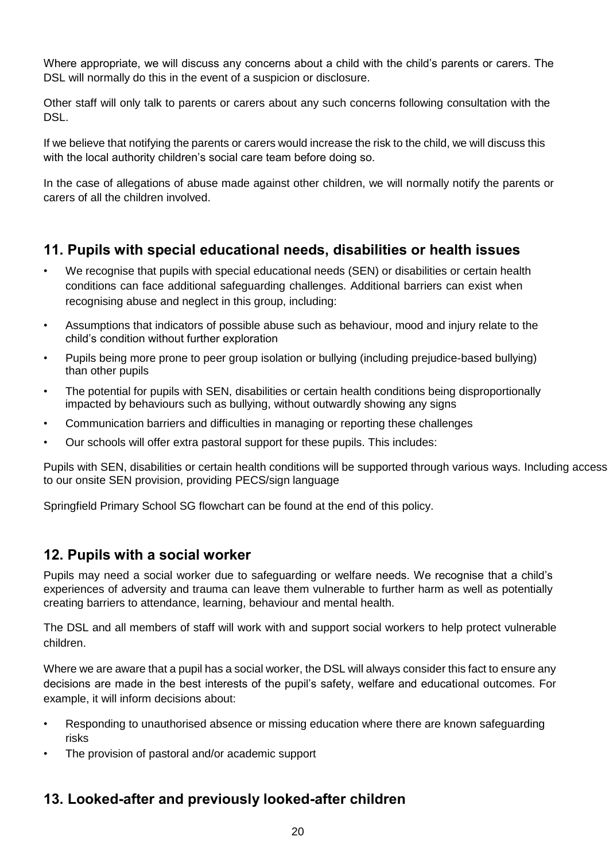Where appropriate, we will discuss any concerns about a child with the child's parents or carers. The DSL will normally do this in the event of a suspicion or disclosure.

Other staff will only talk to parents or carers about any such concerns following consultation with the DSL.

If we believe that notifying the parents or carers would increase the risk to the child, we will discuss this with the local authority children's social care team before doing so.

In the case of allegations of abuse made against other children, we will normally notify the parents or carers of all the children involved.

# **11. Pupils with special educational needs, disabilities or health issues**

- We recognise that pupils with special educational needs (SEN) or disabilities or certain health conditions can face additional safeguarding challenges. Additional barriers can exist when recognising abuse and neglect in this group, including:
- Assumptions that indicators of possible abuse such as behaviour, mood and injury relate to the child's condition without further exploration
- Pupils being more prone to peer group isolation or bullying (including prejudice-based bullying) than other pupils
- The potential for pupils with SEN, disabilities or certain health conditions being disproportionally impacted by behaviours such as bullying, without outwardly showing any signs
- Communication barriers and difficulties in managing or reporting these challenges
- Our schools will offer extra pastoral support for these pupils. This includes:

Pupils with SEN, disabilities or certain health conditions will be supported through various ways. Including access to our onsite SEN provision, providing PECS/sign language

Springfield Primary School SG flowchart can be found at the end of this policy.

# **12. Pupils with a social worker**

Pupils may need a social worker due to safeguarding or welfare needs. We recognise that a child's experiences of adversity and trauma can leave them vulnerable to further harm as well as potentially creating barriers to attendance, learning, behaviour and mental health.

The DSL and all members of staff will work with and support social workers to help protect vulnerable children.

Where we are aware that a pupil has a social worker, the DSL will always consider this fact to ensure any decisions are made in the best interests of the pupil's safety, welfare and educational outcomes. For example, it will inform decisions about:

- Responding to unauthorised absence or missing education where there are known safeguarding risks
- The provision of pastoral and/or academic support

# **13. Looked-after and previously looked-after children**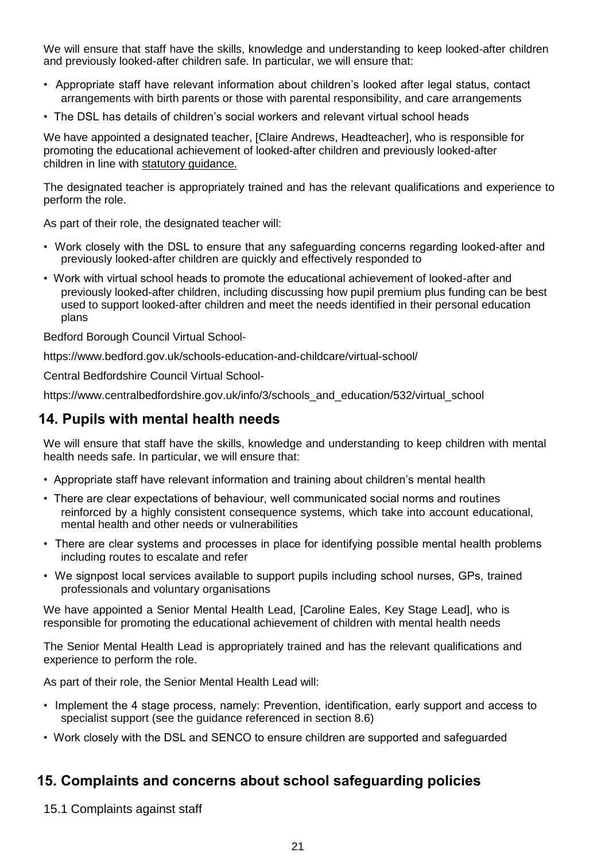We will ensure that staff have the skills, knowledge and understanding to keep looked-after children and previously looked-after children safe. In particular, we will ensure that:

- Appropriate staff have relevant information about children's looked after legal status, contact arrangements with birth parents or those with parental responsibility, and care arrangements
- The DSL has details of children's social workers and relevant virtual school heads

We have appointed a designated teacher, [Claire Andrews, Headteacher], who is responsible for promoting the educational achievement of looked-after children and previously looked-after children in line with [statutory guidance.](https://www.gov.uk/government/publications/designated-teacher-for-looked-after-children)

The designated teacher is appropriately trained and has the relevant qualifications and experience to perform the role.

As part of their role, the designated teacher will:

- Work closely with the DSL to ensure that any safeguarding concerns regarding looked-after and previously looked-after children are quickly and effectively responded to
- Work with virtual school heads to promote the educational achievement of looked-after and previously looked-after children, including discussing how pupil premium plus funding can be best used to support looked-after children and meet the needs identified in their personal education plans

Bedford Borough Council Virtual School-

<https://www.bedford.gov.uk/schools-education-and-childcare/virtual-school/>

Central Bedfordshire Council Virtual School-

[https://www.centralbedfordshire.gov.uk/info/3/schools\\_and\\_education/532/virtual\\_school](https://www.centralbedfordshire.gov.uk/info/3/schools_and_education/532/virtual_school/)

# **14. Pupils with mental health needs**

We will ensure that staff have the skills, knowledge and understanding to keep children with mental health needs safe. In particular, we will ensure that:

- Appropriate staff have relevant information and training about children's mental health
- There are clear expectations of behaviour, well communicated social norms and routines reinforced by a highly consistent consequence systems, which take into account educational, mental health and other needs or vulnerabilities
- There are clear systems and processes in place for identifying possible mental health problems including routes to escalate and refer
- We signpost local services available to support pupils including school nurses, GPs, trained professionals and voluntary organisations

We have appointed a Senior Mental Health Lead, [Caroline Eales, Key Stage Lead], who is responsible for promoting the educational achievement of children with mental health needs

The Senior Mental Health Lead is appropriately trained and has the relevant qualifications and experience to perform the role.

As part of their role, the Senior Mental Health Lead will:

- Implement the 4 stage process, namely: Prevention, identification, early support and access to specialist support (see the guidance referenced in section 8.6)
- Work closely with the DSL and SENCO to ensure children are supported and safeguarded

# **15. Complaints and concerns about school safeguarding policies**

15.1 Complaints against staff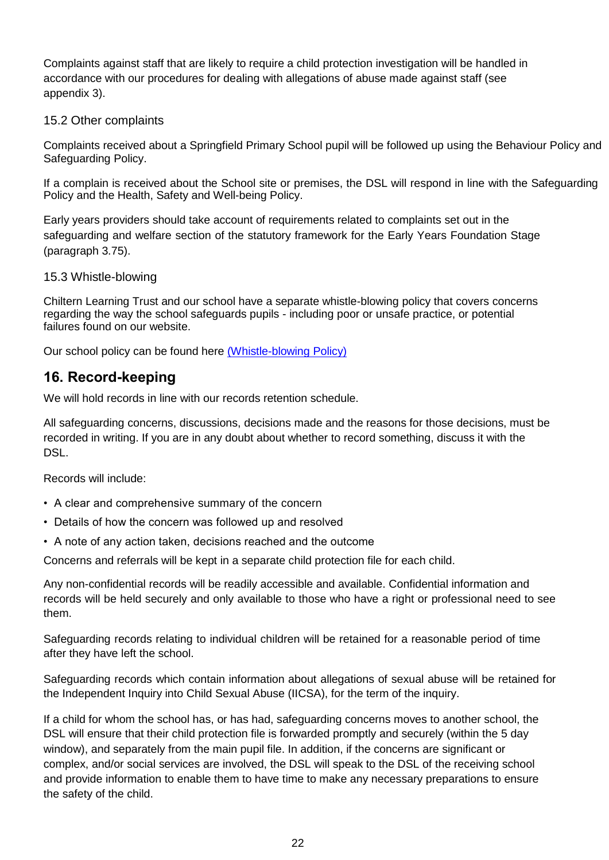Complaints against staff that are likely to require a child protection investigation will be handled in accordance with our procedures for dealing with allegations of abuse made against staff (see appendix 3).

# 15.2 Other complaints

Complaints received about a Springfield Primary School pupil will be followed up using the Behaviour Policy and Safeguarding Policy.

If a complain is received about the School site or premises, the DSL will respond in line with the Safeguarding Policy and the Health, Safety and Well-being Policy.

Early years providers should take account of requirements related to complaints set out in the safeguarding and welfare section of the statutory framework for the Early Years Foundation Stage (paragraph 3.75).

## 15.3 Whistle-blowing

Chiltern Learning Trust and our school have a separate whistle-blowing policy that covers concerns regarding the way the school safeguards pupils - including poor or unsafe practice, or potential failures found on our website.

Our school policy can be found here [\(Whistle-blowing Policy\)](https://springfieldprimaryschool.org.uk/wp-content/uploads/whistleblowing-policy-18.04.19.pdf)

# **16. Record-keeping**

We will hold records in line with our records retention schedule.

All safeguarding concerns, discussions, decisions made and the reasons for those decisions, must be recorded in writing. If you are in any doubt about whether to record something, discuss it with the DSL.

Records will include:

- A clear and comprehensive summary of the concern
- Details of how the concern was followed up and resolved
- A note of any action taken, decisions reached and the outcome

Concerns and referrals will be kept in a separate child protection file for each child.

Any non-confidential records will be readily accessible and available. Confidential information and records will be held securely and only available to those who have a right or professional need to see them.

Safeguarding records relating to individual children will be retained for a reasonable period of time after they have left the school.

Safeguarding records which contain information about allegations of sexual abuse will be retained for the Independent Inquiry into Child Sexual Abuse (IICSA), for the term of the inquiry.

If a child for whom the school has, or has had, safeguarding concerns moves to another school, the DSL will ensure that their child protection file is forwarded promptly and securely (within the 5 day window), and separately from the main pupil file. In addition, if the concerns are significant or complex, and/or social services are involved, the DSL will speak to the DSL of the receiving school and provide information to enable them to have time to make any necessary preparations to ensure the safety of the child.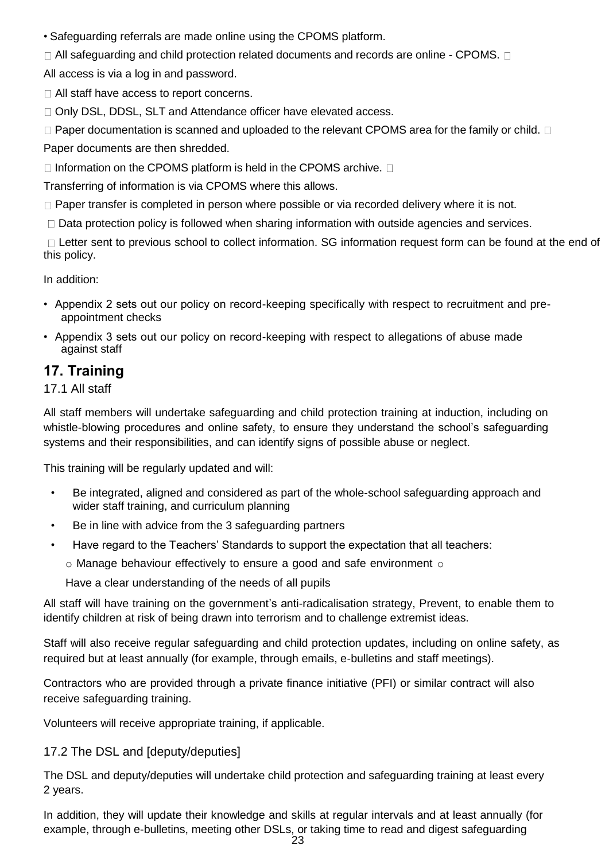• Safeguarding referrals are made online using the CPOMS platform.

 $\Box$  All safeguarding and child protection related documents and records are online - CPOMS.  $\Box$ 

All access is via a log in and password.

□ All staff have access to report concerns.

□ Only DSL, DDSL, SLT and Attendance officer have elevated access.

 $\Box$  Paper documentation is scanned and uploaded to the relevant CPOMS area for the family or child.  $\Box$ Paper documents are then shredded.

 $\Box$  Information on the CPOMS platform is held in the CPOMS archive.  $\Box$ 

Transferring of information is via CPOMS where this allows.

 $\Box$  Paper transfer is completed in person where possible or via recorded delivery where it is not.

 $\Box$  Data protection policy is followed when sharing information with outside agencies and services.

□ Letter sent to previous school to collect information. SG information request form can be found at the end of this policy.

In addition:

- Appendix 2 sets out our policy on record-keeping specifically with respect to recruitment and preappointment checks
- Appendix 3 sets out our policy on record-keeping with respect to allegations of abuse made against staff

# **17. Training**

17.1 All staff

All staff members will undertake safeguarding and child protection training at induction, including on whistle-blowing procedures and online safety, to ensure they understand the school's safeguarding systems and their responsibilities, and can identify signs of possible abuse or neglect.

This training will be regularly updated and will:

- Be integrated, aligned and considered as part of the whole-school safeguarding approach and wider staff training, and curriculum planning
- Be in line with advice from the 3 safeguarding partners
- Have regard to the Teachers' Standards to support the expectation that all teachers:
	- $\circ$  Manage behaviour effectively to ensure a good and safe environment  $\circ$

Have a clear understanding of the needs of all pupils

All staff will have training on the government's anti-radicalisation strategy, Prevent, to enable them to identify children at risk of being drawn into terrorism and to challenge extremist ideas.

Staff will also receive regular safeguarding and child protection updates, including on online safety, as required but at least annually (for example, through emails, e-bulletins and staff meetings).

Contractors who are provided through a private finance initiative (PFI) or similar contract will also receive safeguarding training.

Volunteers will receive appropriate training, if applicable.

# 17.2 The DSL and [deputy/deputies]

The DSL and deputy/deputies will undertake child protection and safeguarding training at least every 2 years.

In addition, they will update their knowledge and skills at regular intervals and at least annually (for example, through e-bulletins, meeting other DSLs, or taking time to read and digest safeguarding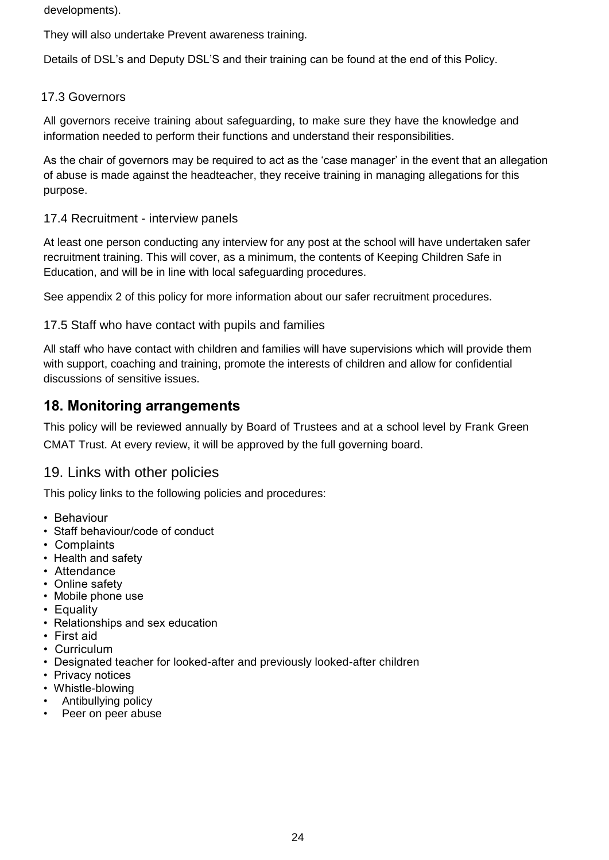developments).

They will also undertake Prevent awareness training.

Details of DSL's and Deputy DSL'S and their training can be found at the end of this Policy.

# 17.3 Governors

All governors receive training about safeguarding, to make sure they have the knowledge and information needed to perform their functions and understand their responsibilities.

As the chair of governors may be required to act as the 'case manager' in the event that an allegation of abuse is made against the headteacher, they receive training in managing allegations for this purpose.

# 17.4 Recruitment - interview panels

At least one person conducting any interview for any post at the school will have undertaken safer recruitment training. This will cover, as a minimum, the contents of Keeping Children Safe in Education, and will be in line with local safeguarding procedures.

See appendix 2 of this policy for more information about our safer recruitment procedures.

# 17.5 Staff who have contact with pupils and families

All staff who have contact with children and families will have supervisions which will provide them with support, coaching and training, promote the interests of children and allow for confidential discussions of sensitive issues.

# **18. Monitoring arrangements**

This policy will be reviewed annually by Board of Trustees and at a school level by Frank Green CMAT Trust. At every review, it will be approved by the full governing board.

# 19. Links with other policies

This policy links to the following policies and procedures:

- Behaviour
- Staff behaviour/code of conduct
- Complaints
- Health and safety
- Attendance
- Online safety
- Mobile phone use
- Equality
- Relationships and sex education
- First aid
- Curriculum
- Designated teacher for looked-after and previously looked-after children
- Privacy notices
- Whistle-blowing
- Antibullying policy
- Peer on peer abuse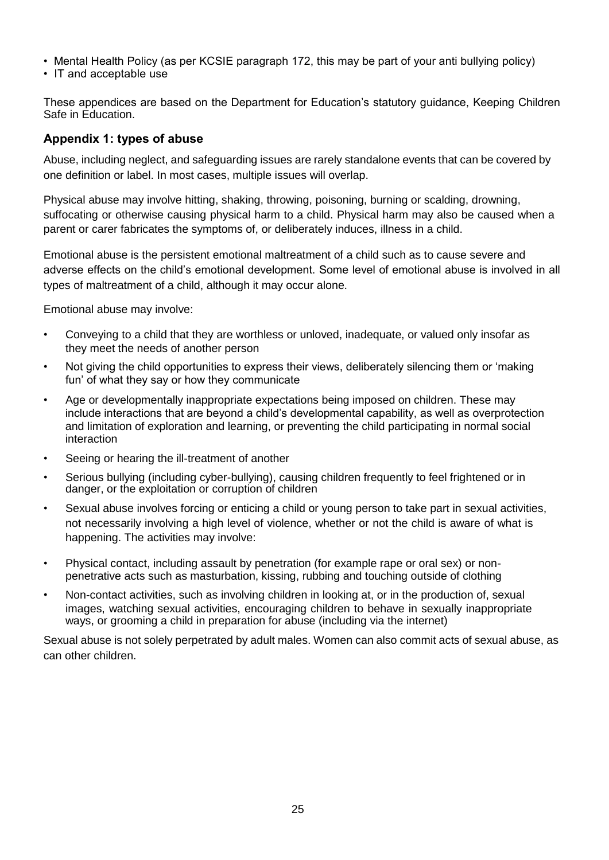- Mental Health Policy (as per KCSIE paragraph 172, this may be part of your anti bullying policy)
- IT and acceptable use

These appendices are based on the Department for Education's statutory guidance, Keeping Children Safe in Education.

# **Appendix 1: types of abuse**

Abuse, including neglect, and safeguarding issues are rarely standalone events that can be covered by one definition or label. In most cases, multiple issues will overlap.

Physical abuse may involve hitting, shaking, throwing, poisoning, burning or scalding, drowning, suffocating or otherwise causing physical harm to a child. Physical harm may also be caused when a parent or carer fabricates the symptoms of, or deliberately induces, illness in a child.

Emotional abuse is the persistent emotional maltreatment of a child such as to cause severe and adverse effects on the child's emotional development. Some level of emotional abuse is involved in all types of maltreatment of a child, although it may occur alone.

Emotional abuse may involve:

- Conveying to a child that they are worthless or unloved, inadequate, or valued only insofar as they meet the needs of another person
- Not giving the child opportunities to express their views, deliberately silencing them or 'making fun' of what they say or how they communicate
- Age or developmentally inappropriate expectations being imposed on children. These may include interactions that are beyond a child's developmental capability, as well as overprotection and limitation of exploration and learning, or preventing the child participating in normal social interaction
- Seeing or hearing the ill-treatment of another
- Serious bullying (including cyber-bullying), causing children frequently to feel frightened or in danger, or the exploitation or corruption of children
- Sexual abuse involves forcing or enticing a child or young person to take part in sexual activities, not necessarily involving a high level of violence, whether or not the child is aware of what is happening. The activities may involve:
- Physical contact, including assault by penetration (for example rape or oral sex) or nonpenetrative acts such as masturbation, kissing, rubbing and touching outside of clothing
- Non-contact activities, such as involving children in looking at, or in the production of, sexual images, watching sexual activities, encouraging children to behave in sexually inappropriate ways, or grooming a child in preparation for abuse (including via the internet)

Sexual abuse is not solely perpetrated by adult males. Women can also commit acts of sexual abuse, as can other children.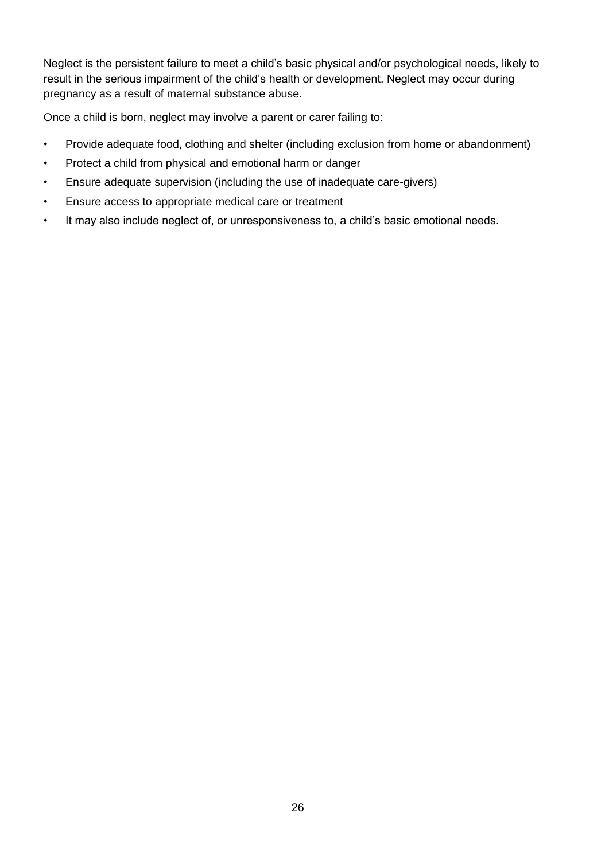Neglect is the persistent failure to meet a child's basic physical and/or psychological needs, likely to result in the serious impairment of the child's health or development. Neglect may occur during pregnancy as a result of maternal substance abuse.

Once a child is born, neglect may involve a parent or carer failing to:

- Provide adequate food, clothing and shelter (including exclusion from home or abandonment)
- Protect a child from physical and emotional harm or danger
- Ensure adequate supervision (including the use of inadequate care-givers)
- Ensure access to appropriate medical care or treatment
- It may also include neglect of, or unresponsiveness to, a child's basic emotional needs.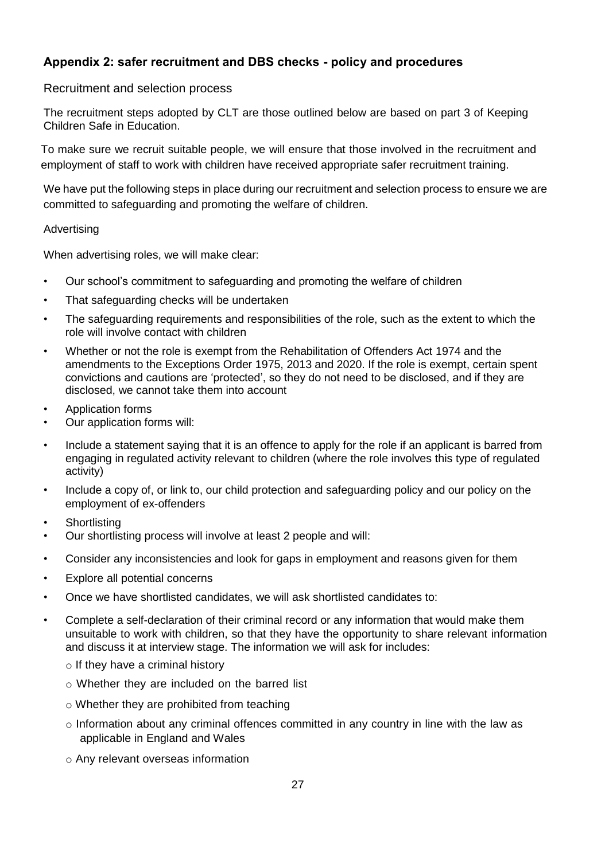# **Appendix 2: safer recruitment and DBS checks - policy and procedures**

## Recruitment and selection process

The recruitment steps adopted by CLT are those outlined below are based on part 3 of Keeping Children Safe in Education.

To make sure we recruit suitable people, we will ensure that those involved in the recruitment and employment of staff to work with children have received appropriate safer recruitment training.

We have put the following steps in place during our recruitment and selection process to ensure we are committed to safeguarding and promoting the welfare of children.

#### Advertising

When advertising roles, we will make clear:

- Our school's commitment to safeguarding and promoting the welfare of children
- That safeguarding checks will be undertaken
- The safeguarding requirements and responsibilities of the role, such as the extent to which the role will involve contact with children
- Whether or not the role is exempt from the Rehabilitation of Offenders Act 1974 and the amendments to the Exceptions Order 1975, 2013 and 2020. If the role is exempt, certain spent convictions and cautions are 'protected', so they do not need to be disclosed, and if they are disclosed, we cannot take them into account
- Application forms
- Our application forms will:
- Include a statement saying that it is an offence to apply for the role if an applicant is barred from engaging in regulated activity relevant to children (where the role involves this type of regulated activity)
- Include a copy of, or link to, our child protection and safeguarding policy and our policy on the employment of ex-offenders
- **Shortlisting**
- Our shortlisting process will involve at least 2 people and will:
- Consider any inconsistencies and look for gaps in employment and reasons given for them
- Explore all potential concerns
- Once we have shortlisted candidates, we will ask shortlisted candidates to:
- Complete a self-declaration of their criminal record or any information that would make them unsuitable to work with children, so that they have the opportunity to share relevant information and discuss it at interview stage. The information we will ask for includes:
	- $\circ$  If they have a criminal history
	- o Whether they are included on the barred list
	- o Whether they are prohibited from teaching
	- $\circ$  Information about any criminal offences committed in any country in line with the law as applicable in England and Wales
	- o Any relevant overseas information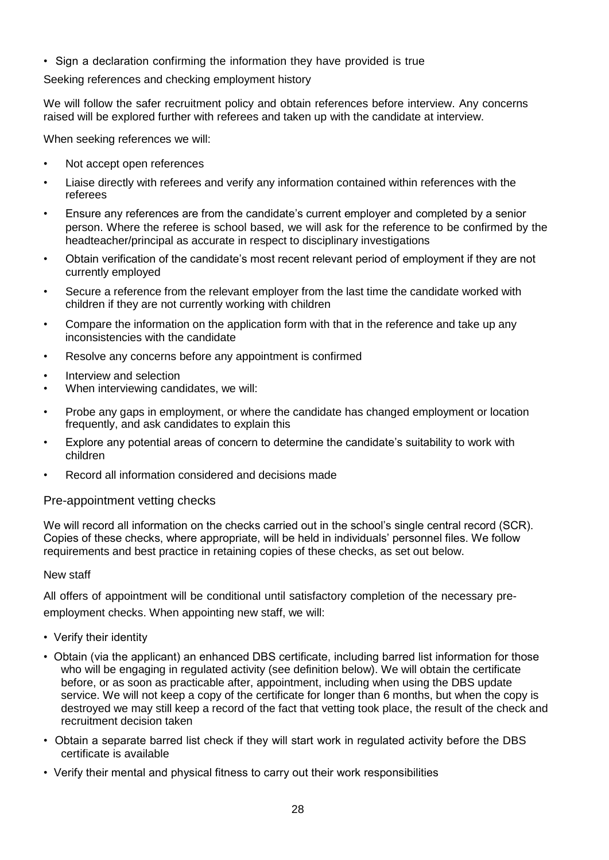• Sign a declaration confirming the information they have provided is true

Seeking references and checking employment history

We will follow the safer recruitment policy and obtain references before interview. Any concerns raised will be explored further with referees and taken up with the candidate at interview.

When seeking references we will:

- Not accept open references
- Liaise directly with referees and verify any information contained within references with the referees
- Ensure any references are from the candidate's current employer and completed by a senior person. Where the referee is school based, we will ask for the reference to be confirmed by the headteacher/principal as accurate in respect to disciplinary investigations
- Obtain verification of the candidate's most recent relevant period of employment if they are not currently employed
- Secure a reference from the relevant employer from the last time the candidate worked with children if they are not currently working with children
- Compare the information on the application form with that in the reference and take up any inconsistencies with the candidate
- Resolve any concerns before any appointment is confirmed
- Interview and selection
- When interviewing candidates, we will:
- Probe any gaps in employment, or where the candidate has changed employment or location frequently, and ask candidates to explain this
- Explore any potential areas of concern to determine the candidate's suitability to work with children
- Record all information considered and decisions made

#### Pre-appointment vetting checks

We will record all information on the checks carried out in the school's single central record (SCR). Copies of these checks, where appropriate, will be held in individuals' personnel files. We follow requirements and best practice in retaining copies of these checks, as set out below.

#### New staff

All offers of appointment will be conditional until satisfactory completion of the necessary preemployment checks. When appointing new staff, we will:

- Verify their identity
- Obtain (via the applicant) an enhanced DBS certificate, including barred list information for those who will be engaging in regulated activity (see definition below). We will obtain the certificate before, or as soon as practicable after, appointment, including when using the DBS update service. We will not keep a copy of the certificate for longer than 6 months, but when the copy is destroyed we may still keep a record of the fact that vetting took place, the result of the check and recruitment decision taken
- Obtain a separate barred list check if they will start work in regulated activity before the DBS certificate is available
- Verify their mental and physical fitness to carry out their work responsibilities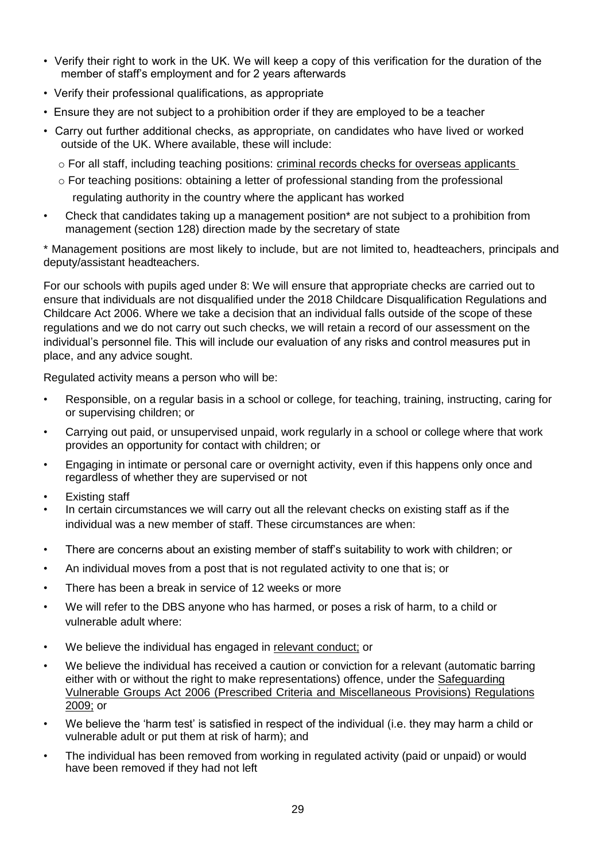- Verify their right to work in the UK. We will keep a copy of this verification for the duration of the member of staff's employment and for 2 years afterwards
- Verify their professional qualifications, as appropriate
- Ensure they are not subject to a prohibition order if they are employed to be a teacher
- Carry out further additional checks, as appropriate, on candidates who have lived or worked outside of the UK. Where available, these will include:
	- $\circ$  For all staff, including teaching positions: criminal records checks for overseas applicants
	- $\circ$  For teaching positions: obtaining a letter of professional standing from the professional regulating authority in the country where the applicant has worked
- Check that candidates taking up a management position\* are not subject to a prohibition from management (section 128) direction made by the secretary of state

\* Management positions are most likely to include, but are not limited to, headteachers, principals and deputy/assistant headteachers.

For our schools with pupils aged under 8: We will ensure that appropriate checks are carried out to ensure that individuals are not disqualified under the 2018 Childcare Disqualification Regulations and Childcare Act 2006. Where we take a decision that an individual falls outside of the scope of these regulations and we do not carry out such checks, we will retain a record of our assessment on the individual's personnel file. This will include our evaluation of any risks and control measures put in place, and any advice sought.

Regulated activity means a person who will be:

- Responsible, on a regular basis in a school or college, for teaching, training, instructing, caring for or supervising children; or
- Carrying out paid, or unsupervised unpaid, work regularly in a school or college where that work provides an opportunity for contact with children; or
- Engaging in intimate or personal care or overnight activity, even if this happens only once and regardless of whether they are supervised or not
- Existing staff
- In certain circumstances we will carry out all the relevant checks on existing staff as if the individual was a new member of staff. These circumstances are when:
- There are concerns about an existing member of staff's suitability to work with children; or
- An individual moves from a post that is not regulated activity to one that is; or
- There has been a break in service of 12 weeks or more
- We will refer to the DBS anyone who has harmed, or poses a risk of harm, to a child or vulnerable adult where:
- We believe the individual has engaged in [relevant conduct;](https://www.gov.uk/guidance/making-barring-referrals-to-the-dbs) or
- We believe the individual has received a caution or conviction for a relevant (automatic barring either with or without the right to make representations) offence, under the [Safeguarding](http://www.legislation.gov.uk/uksi/2009/37/contents/made) [Vulnerable Groups Act 2006 \(Prescribed Criteria and Miscellaneous Provisions\) Regulations](http://www.legislation.gov.uk/uksi/2009/37/contents/made)  [2009;](http://www.legislation.gov.uk/uksi/2009/37/contents/made) or
- We believe the 'harm test' is satisfied in respect of the individual (i.e. they may harm a child or vulnerable adult or put them at risk of harm); and
- The individual has been removed from working in regulated activity (paid or unpaid) or would have been removed if they had not left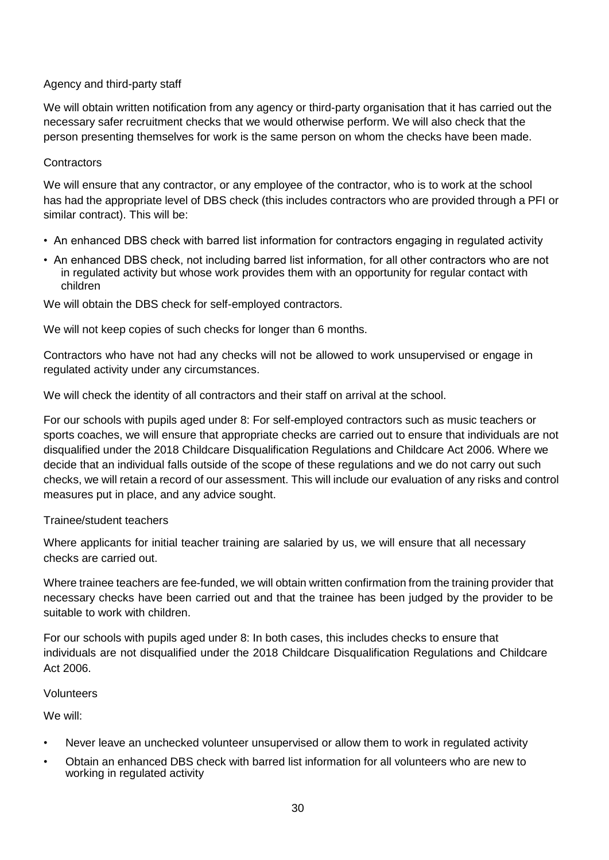## Agency and third-party staff

We will obtain written notification from any agency or third-party organisation that it has carried out the necessary safer recruitment checks that we would otherwise perform. We will also check that the person presenting themselves for work is the same person on whom the checks have been made.

## **Contractors**

We will ensure that any contractor, or any employee of the contractor, who is to work at the school has had the appropriate level of DBS check (this includes contractors who are provided through a PFI or similar contract). This will be:

- An enhanced DBS check with barred list information for contractors engaging in regulated activity
- An enhanced DBS check, not including barred list information, for all other contractors who are not in regulated activity but whose work provides them with an opportunity for regular contact with children

We will obtain the DBS check for self-employed contractors.

We will not keep copies of such checks for longer than 6 months.

Contractors who have not had any checks will not be allowed to work unsupervised or engage in regulated activity under any circumstances.

We will check the identity of all contractors and their staff on arrival at the school.

For our schools with pupils aged under 8: For self-employed contractors such as music teachers or sports coaches, we will ensure that appropriate checks are carried out to ensure that individuals are not disqualified under the 2018 Childcare Disqualification Regulations and Childcare Act 2006. Where we decide that an individual falls outside of the scope of these regulations and we do not carry out such checks, we will retain a record of our assessment. This will include our evaluation of any risks and control measures put in place, and any advice sought.

#### Trainee/student teachers

Where applicants for initial teacher training are salaried by us, we will ensure that all necessary checks are carried out.

Where trainee teachers are fee-funded, we will obtain written confirmation from the training provider that necessary checks have been carried out and that the trainee has been judged by the provider to be suitable to work with children.

For our schools with pupils aged under 8: In both cases, this includes checks to ensure that individuals are not disqualified under the 2018 Childcare Disqualification Regulations and Childcare Act 2006.

#### Volunteers

We will:

- Never leave an unchecked volunteer unsupervised or allow them to work in regulated activity
- Obtain an enhanced DBS check with barred list information for all volunteers who are new to working in regulated activity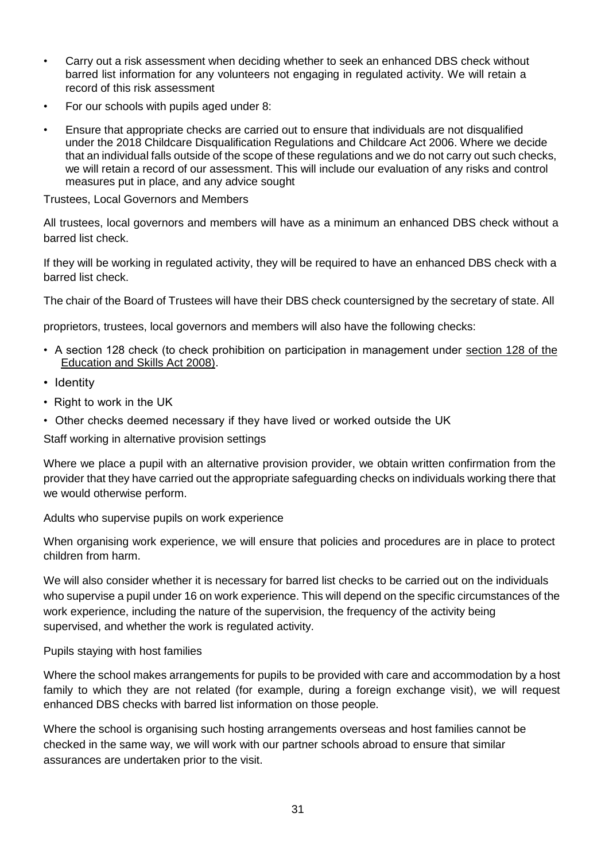- Carry out a risk assessment when deciding whether to seek an enhanced DBS check without barred list information for any volunteers not engaging in regulated activity. We will retain a record of this risk assessment
- For our schools with pupils aged under 8:
- Ensure that appropriate checks are carried out to ensure that individuals are not disqualified under the 2018 Childcare Disqualification Regulations and Childcare Act 2006. Where we decide that an individual falls outside of the scope of these regulations and we do not carry out such checks, we will retain a record of our assessment. This will include our evaluation of any risks and control measures put in place, and any advice sought

Trustees, Local Governors and Members

All trustees, local governors and members will have as a minimum an enhanced DBS check without a barred list check.

If they will be working in regulated activity, they will be required to have an enhanced DBS check with a barred list check.

The chair of the Board of Trustees will have their DBS check countersigned by the secretary of state. All

proprietors, trustees, local governors and members will also have the following checks:

- A section 128 check (to check prohibition on participation in management under [section 128 of the](https://www.legislation.gov.uk/ukpga/2008/25/section/128)  [Education and Skills Act 2008\).](https://www.legislation.gov.uk/ukpga/2008/25/section/128)
- Identity
- Right to work in the UK
- Other checks deemed necessary if they have lived or worked outside the UK

Staff working in alternative provision settings

Where we place a pupil with an alternative provision provider, we obtain written confirmation from the provider that they have carried out the appropriate safeguarding checks on individuals working there that we would otherwise perform.

Adults who supervise pupils on work experience

When organising work experience, we will ensure that policies and procedures are in place to protect children from harm.

We will also consider whether it is necessary for barred list checks to be carried out on the individuals who supervise a pupil under 16 on work experience. This will depend on the specific circumstances of the work experience, including the nature of the supervision, the frequency of the activity being supervised, and whether the work is regulated activity.

## Pupils staying with host families

Where the school makes arrangements for pupils to be provided with care and accommodation by a host family to which they are not related (for example, during a foreign exchange visit), we will request enhanced DBS checks with barred list information on those people.

Where the school is organising such hosting arrangements overseas and host families cannot be checked in the same way, we will work with our partner schools abroad to ensure that similar assurances are undertaken prior to the visit.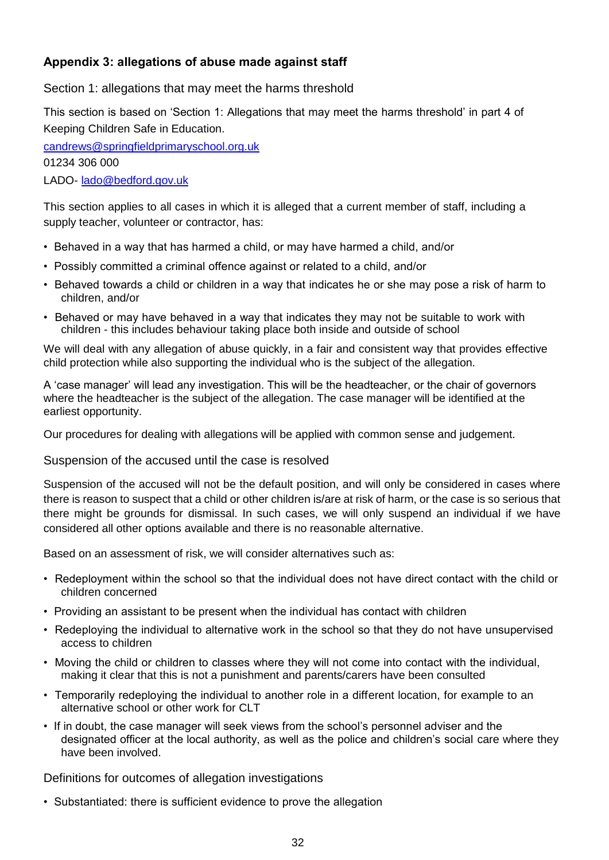# **Appendix 3: allegations of abuse made against staff**

Section 1: allegations that may meet the harms threshold

This section is based on 'Section 1: Allegations that may meet the harms threshold' in part 4 of Keeping Children Safe in Education.

[candrews@springfieldprimaryschool.org.uk](mailto:candrews@springfieldprimaryschool.org.uk)

01234 306 000

LADO- [lado@bedford.gov.uk](mailto:lado@bedford.gov.uk)

This section applies to all cases in which it is alleged that a current member of staff, including a supply teacher, volunteer or contractor, has:

- Behaved in a way that has harmed a child, or may have harmed a child, and/or
- Possibly committed a criminal offence against or related to a child, and/or
- Behaved towards a child or children in a way that indicates he or she may pose a risk of harm to children, and/or
- Behaved or may have behaved in a way that indicates they may not be suitable to work with children - this includes behaviour taking place both inside and outside of school

We will deal with any allegation of abuse quickly, in a fair and consistent way that provides effective child protection while also supporting the individual who is the subject of the allegation.

A 'case manager' will lead any investigation. This will be the headteacher, or the chair of governors where the headteacher is the subject of the allegation. The case manager will be identified at the earliest opportunity.

Our procedures for dealing with allegations will be applied with common sense and judgement.

Suspension of the accused until the case is resolved

Suspension of the accused will not be the default position, and will only be considered in cases where there is reason to suspect that a child or other children is/are at risk of harm, or the case is so serious that there might be grounds for dismissal. In such cases, we will only suspend an individual if we have considered all other options available and there is no reasonable alternative.

Based on an assessment of risk, we will consider alternatives such as:

- Redeployment within the school so that the individual does not have direct contact with the child or children concerned
- Providing an assistant to be present when the individual has contact with children
- Redeploying the individual to alternative work in the school so that they do not have unsupervised access to children
- Moving the child or children to classes where they will not come into contact with the individual, making it clear that this is not a punishment and parents/carers have been consulted
- Temporarily redeploying the individual to another role in a different location, for example to an alternative school or other work for CLT
- If in doubt, the case manager will seek views from the school's personnel adviser and the designated officer at the local authority, as well as the police and children's social care where they have been involved.

Definitions for outcomes of allegation investigations

• Substantiated: there is sufficient evidence to prove the allegation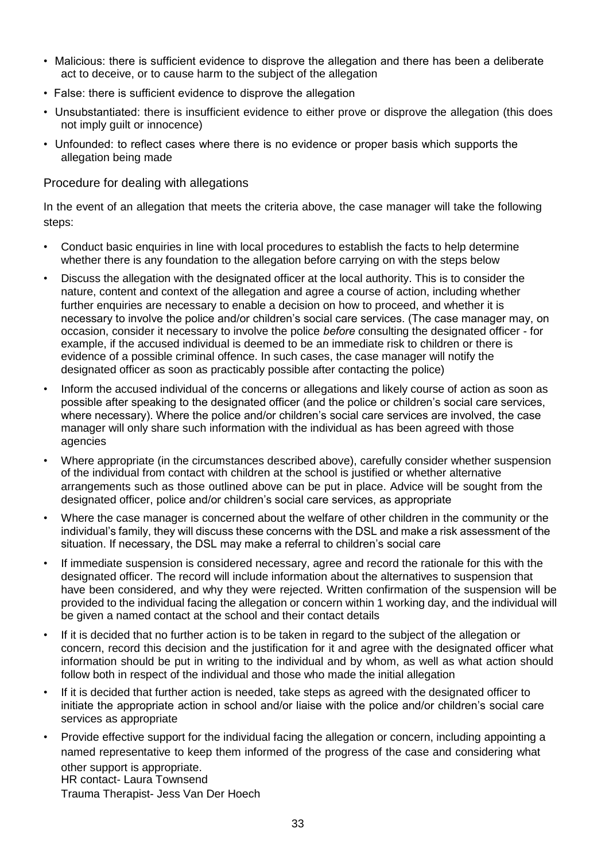- Malicious: there is sufficient evidence to disprove the allegation and there has been a deliberate act to deceive, or to cause harm to the subject of the allegation
- False: there is sufficient evidence to disprove the allegation
- Unsubstantiated: there is insufficient evidence to either prove or disprove the allegation (this does not imply guilt or innocence)
- Unfounded: to reflect cases where there is no evidence or proper basis which supports the allegation being made

## Procedure for dealing with allegations

In the event of an allegation that meets the criteria above, the case manager will take the following steps:

- Conduct basic enquiries in line with local procedures to establish the facts to help determine whether there is any foundation to the allegation before carrying on with the steps below
- Discuss the allegation with the designated officer at the local authority. This is to consider the nature, content and context of the allegation and agree a course of action, including whether further enquiries are necessary to enable a decision on how to proceed, and whether it is necessary to involve the police and/or children's social care services. (The case manager may, on occasion, consider it necessary to involve the police *before* consulting the designated officer - for example, if the accused individual is deemed to be an immediate risk to children or there is evidence of a possible criminal offence. In such cases, the case manager will notify the designated officer as soon as practicably possible after contacting the police)
- Inform the accused individual of the concerns or allegations and likely course of action as soon as possible after speaking to the designated officer (and the police or children's social care services, where necessary). Where the police and/or children's social care services are involved, the case manager will only share such information with the individual as has been agreed with those agencies
- Where appropriate (in the circumstances described above), carefully consider whether suspension of the individual from contact with children at the school is justified or whether alternative arrangements such as those outlined above can be put in place. Advice will be sought from the designated officer, police and/or children's social care services, as appropriate
- Where the case manager is concerned about the welfare of other children in the community or the individual's family, they will discuss these concerns with the DSL and make a risk assessment of the situation. If necessary, the DSL may make a referral to children's social care
- If immediate suspension is considered necessary, agree and record the rationale for this with the designated officer. The record will include information about the alternatives to suspension that have been considered, and why they were rejected. Written confirmation of the suspension will be provided to the individual facing the allegation or concern within 1 working day, and the individual will be given a named contact at the school and their contact details
- If it is decided that no further action is to be taken in regard to the subject of the allegation or concern, record this decision and the justification for it and agree with the designated officer what information should be put in writing to the individual and by whom, as well as what action should follow both in respect of the individual and those who made the initial allegation
- If it is decided that further action is needed, take steps as agreed with the designated officer to initiate the appropriate action in school and/or liaise with the police and/or children's social care services as appropriate
- Provide effective support for the individual facing the allegation or concern, including appointing a named representative to keep them informed of the progress of the case and considering what other support is appropriate. HR contact- Laura Townsend Trauma Therapist- Jess Van Der Hoech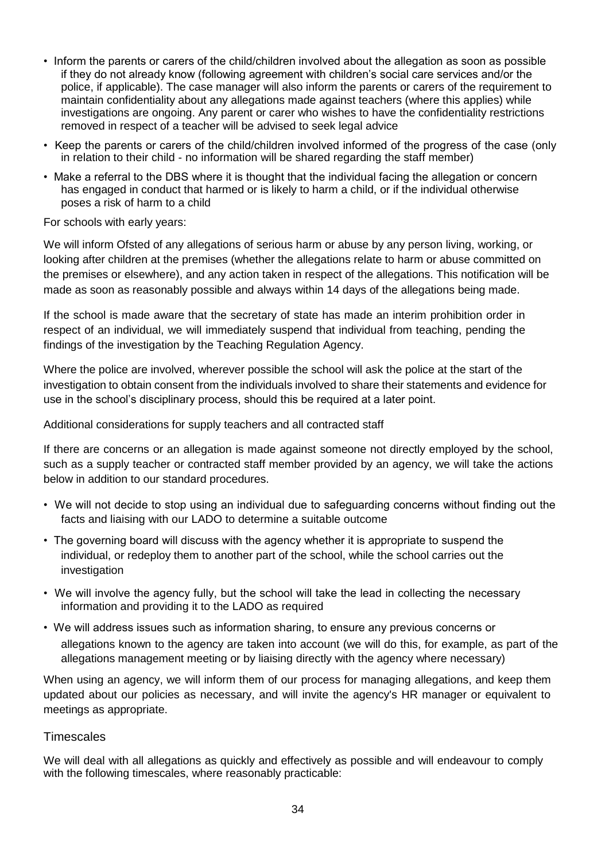- Inform the parents or carers of the child/children involved about the allegation as soon as possible if they do not already know (following agreement with children's social care services and/or the police, if applicable). The case manager will also inform the parents or carers of the requirement to maintain confidentiality about any allegations made against teachers (where this applies) while investigations are ongoing. Any parent or carer who wishes to have the confidentiality restrictions removed in respect of a teacher will be advised to seek legal advice
- Keep the parents or carers of the child/children involved informed of the progress of the case (only in relation to their child - no information will be shared regarding the staff member)
- Make a referral to the DBS where it is thought that the individual facing the allegation or concern has engaged in conduct that harmed or is likely to harm a child, or if the individual otherwise poses a risk of harm to a child

For schools with early years:

We will inform Ofsted of any allegations of serious harm or abuse by any person living, working, or looking after children at the premises (whether the allegations relate to harm or abuse committed on the premises or elsewhere), and any action taken in respect of the allegations. This notification will be made as soon as reasonably possible and always within 14 days of the allegations being made.

If the school is made aware that the secretary of state has made an interim prohibition order in respect of an individual, we will immediately suspend that individual from teaching, pending the findings of the investigation by the Teaching Regulation Agency.

Where the police are involved, wherever possible the school will ask the police at the start of the investigation to obtain consent from the individuals involved to share their statements and evidence for use in the school's disciplinary process, should this be required at a later point.

Additional considerations for supply teachers and all contracted staff

If there are concerns or an allegation is made against someone not directly employed by the school, such as a supply teacher or contracted staff member provided by an agency, we will take the actions below in addition to our standard procedures.

- We will not decide to stop using an individual due to safeguarding concerns without finding out the facts and liaising with our LADO to determine a suitable outcome
- The governing board will discuss with the agency whether it is appropriate to suspend the individual, or redeploy them to another part of the school, while the school carries out the investigation
- We will involve the agency fully, but the school will take the lead in collecting the necessary information and providing it to the LADO as required
- We will address issues such as information sharing, to ensure any previous concerns or allegations known to the agency are taken into account (we will do this, for example, as part of the allegations management meeting or by liaising directly with the agency where necessary)

When using an agency, we will inform them of our process for managing allegations, and keep them updated about our policies as necessary, and will invite the agency's HR manager or equivalent to meetings as appropriate.

## **Timescales**

We will deal with all allegations as quickly and effectively as possible and will endeavour to comply with the following timescales, where reasonably practicable: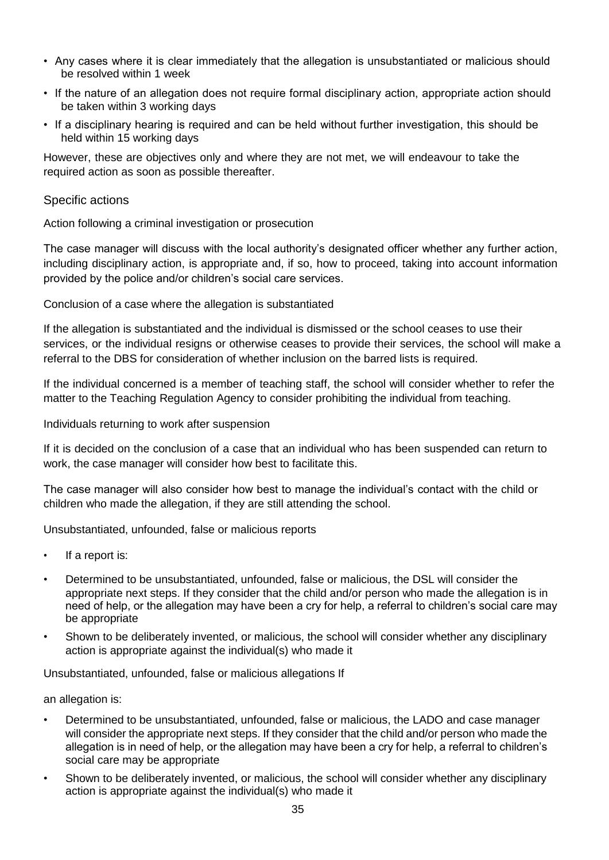- Any cases where it is clear immediately that the allegation is unsubstantiated or malicious should be resolved within 1 week
- If the nature of an allegation does not require formal disciplinary action, appropriate action should be taken within 3 working days
- If a disciplinary hearing is required and can be held without further investigation, this should be held within 15 working days

However, these are objectives only and where they are not met, we will endeavour to take the required action as soon as possible thereafter.

## Specific actions

Action following a criminal investigation or prosecution

The case manager will discuss with the local authority's designated officer whether any further action, including disciplinary action, is appropriate and, if so, how to proceed, taking into account information provided by the police and/or children's social care services.

Conclusion of a case where the allegation is substantiated

If the allegation is substantiated and the individual is dismissed or the school ceases to use their services, or the individual resigns or otherwise ceases to provide their services, the school will make a referral to the DBS for consideration of whether inclusion on the barred lists is required.

If the individual concerned is a member of teaching staff, the school will consider whether to refer the matter to the Teaching Regulation Agency to consider prohibiting the individual from teaching.

Individuals returning to work after suspension

If it is decided on the conclusion of a case that an individual who has been suspended can return to work, the case manager will consider how best to facilitate this.

The case manager will also consider how best to manage the individual's contact with the child or children who made the allegation, if they are still attending the school.

Unsubstantiated, unfounded, false or malicious reports

- If a report is:
- Determined to be unsubstantiated, unfounded, false or malicious, the DSL will consider the appropriate next steps. If they consider that the child and/or person who made the allegation is in need of help, or the allegation may have been a cry for help, a referral to children's social care may be appropriate
- Shown to be deliberately invented, or malicious, the school will consider whether any disciplinary action is appropriate against the individual(s) who made it

Unsubstantiated, unfounded, false or malicious allegations If

an allegation is:

- Determined to be unsubstantiated, unfounded, false or malicious, the LADO and case manager will consider the appropriate next steps. If they consider that the child and/or person who made the allegation is in need of help, or the allegation may have been a cry for help, a referral to children's social care may be appropriate
- Shown to be deliberately invented, or malicious, the school will consider whether any disciplinary action is appropriate against the individual(s) who made it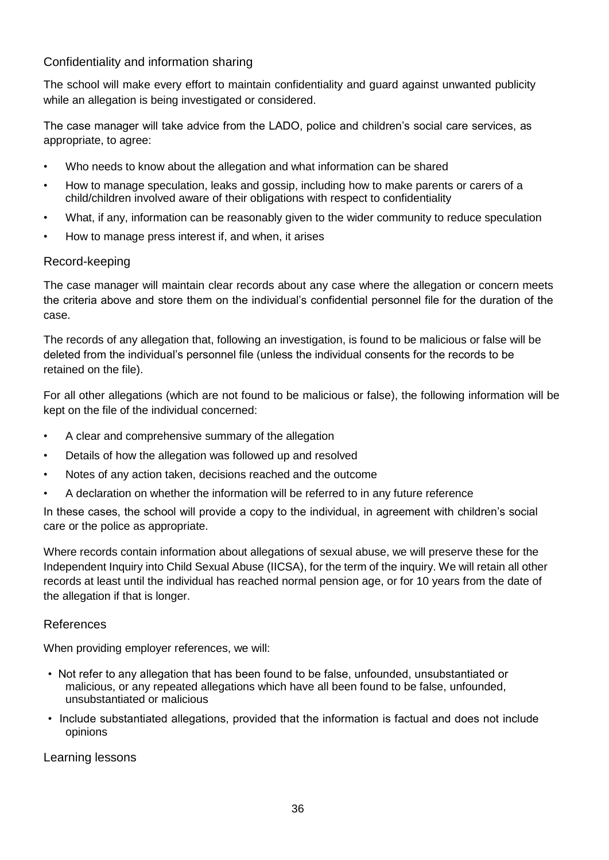# Confidentiality and information sharing

The school will make every effort to maintain confidentiality and guard against unwanted publicity while an allegation is being investigated or considered.

The case manager will take advice from the LADO, police and children's social care services, as appropriate, to agree:

- Who needs to know about the allegation and what information can be shared
- How to manage speculation, leaks and gossip, including how to make parents or carers of a child/children involved aware of their obligations with respect to confidentiality
- What, if any, information can be reasonably given to the wider community to reduce speculation
- How to manage press interest if, and when, it arises

## Record-keeping

The case manager will maintain clear records about any case where the allegation or concern meets the criteria above and store them on the individual's confidential personnel file for the duration of the case.

The records of any allegation that, following an investigation, is found to be malicious or false will be deleted from the individual's personnel file (unless the individual consents for the records to be retained on the file).

For all other allegations (which are not found to be malicious or false), the following information will be kept on the file of the individual concerned:

- A clear and comprehensive summary of the allegation
- Details of how the allegation was followed up and resolved
- Notes of any action taken, decisions reached and the outcome
- A declaration on whether the information will be referred to in any future reference

In these cases, the school will provide a copy to the individual, in agreement with children's social care or the police as appropriate.

Where records contain information about allegations of sexual abuse, we will preserve these for the Independent Inquiry into Child Sexual Abuse (IICSA), for the term of the inquiry. We will retain all other records at least until the individual has reached normal pension age, or for 10 years from the date of the allegation if that is longer.

#### References

When providing employer references, we will:

- Not refer to any allegation that has been found to be false, unfounded, unsubstantiated or malicious, or any repeated allegations which have all been found to be false, unfounded, unsubstantiated or malicious
- Include substantiated allegations, provided that the information is factual and does not include opinions

Learning lessons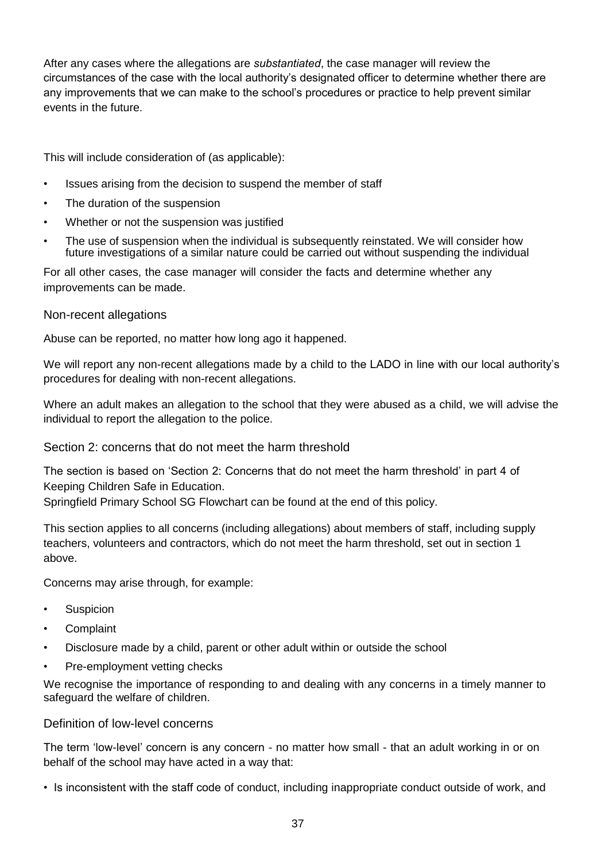After any cases where the allegations are *substantiated*, the case manager will review the circumstances of the case with the local authority's designated officer to determine whether there are any improvements that we can make to the school's procedures or practice to help prevent similar events in the future.

This will include consideration of (as applicable):

- Issues arising from the decision to suspend the member of staff
- The duration of the suspension
- Whether or not the suspension was justified
- The use of suspension when the individual is subsequently reinstated. We will consider how future investigations of a similar nature could be carried out without suspending the individual

For all other cases, the case manager will consider the facts and determine whether any improvements can be made.

Non-recent allegations

Abuse can be reported, no matter how long ago it happened.

We will report any non-recent allegations made by a child to the LADO in line with our local authority's procedures for dealing with non-recent allegations.

Where an adult makes an allegation to the school that they were abused as a child, we will advise the individual to report the allegation to the police.

Section 2: concerns that do not meet the harm threshold

The section is based on 'Section 2: Concerns that do not meet the harm threshold' in part 4 of Keeping Children Safe in Education.

Springfield Primary School SG Flowchart can be found at the end of this policy.

This section applies to all concerns (including allegations) about members of staff, including supply teachers, volunteers and contractors, which do not meet the harm threshold, set out in section 1 above.

Concerns may arise through, for example:

- **Suspicion**
- **Complaint**
- Disclosure made by a child, parent or other adult within or outside the school
- Pre-employment vetting checks

We recognise the importance of responding to and dealing with any concerns in a timely manner to safeguard the welfare of children.

#### Definition of low-level concerns

The term 'low-level' concern is any concern - no matter how small - that an adult working in or on behalf of the school may have acted in a way that:

• Is inconsistent with the staff code of conduct, including inappropriate conduct outside of work, and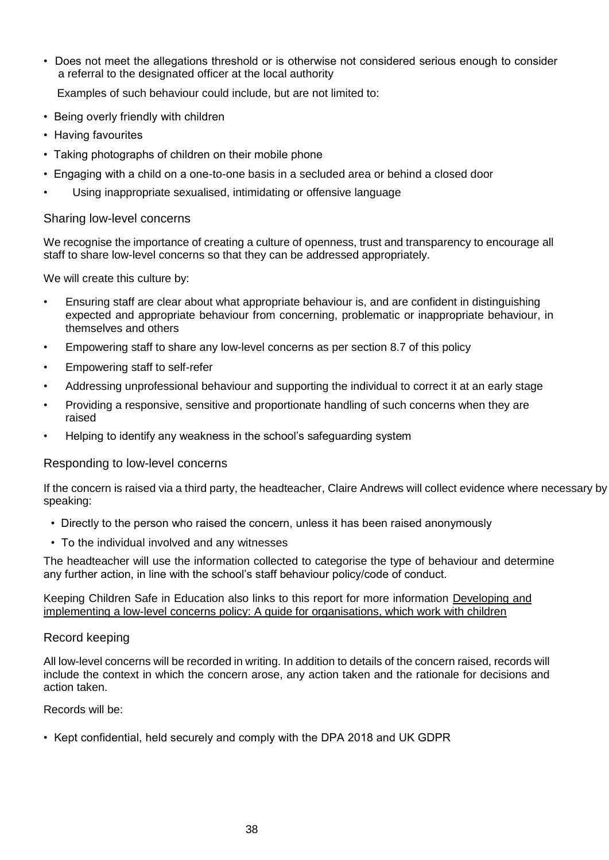• Does not meet the allegations threshold or is otherwise not considered serious enough to consider a referral to the designated officer at the local authority

Examples of such behaviour could include, but are not limited to:

- Being overly friendly with children
- Having favourites
- Taking photographs of children on their mobile phone
- Engaging with a child on a one-to-one basis in a secluded area or behind a closed door
- Using inappropriate sexualised, intimidating or offensive language

## Sharing low-level concerns

We recognise the importance of creating a culture of openness, trust and transparency to encourage all staff to share low-level concerns so that they can be addressed appropriately.

We will create this culture by:

- Ensuring staff are clear about what appropriate behaviour is, and are confident in distinguishing expected and appropriate behaviour from concerning, problematic or inappropriate behaviour, in themselves and others
- Empowering staff to share any low-level concerns as per section 8.7 of this policy
- Empowering staff to self-refer
- Addressing unprofessional behaviour and supporting the individual to correct it at an early stage
- Providing a responsive, sensitive and proportionate handling of such concerns when they are raised
- Helping to identify any weakness in the school's safeguarding system

#### Responding to low-level concerns

If the concern is raised via a third party, the headteacher, Claire Andrews will collect evidence where necessary by speaking:

- Directly to the person who raised the concern, unless it has been raised anonymously
- To the individual involved and any witnesses

The headteacher will use the information collected to categorise the type of behaviour and determine any further action, in line with the school's staff behaviour policy/code of conduct.

#### Keeping Children Safe in Education also links to this report for more information [Developing and](https://www.farrer.co.uk/news-and-insights/developing-and-implementing-a-low-level-concerns-policy-a-guide-for-organisations-which-work-with-children/)  [implementing a low-level concerns policy: A guide for organisations, which work with children](https://www.farrer.co.uk/news-and-insights/developing-and-implementing-a-low-level-concerns-policy-a-guide-for-organisations-which-work-with-children/)

#### Record keeping

All low-level concerns will be recorded in writing. In addition to details of the concern raised, records will include the context in which the concern arose, any action taken and the rationale for decisions and action taken.

Records will be:

• Kept confidential, held securely and comply with the DPA 2018 and UK GDPR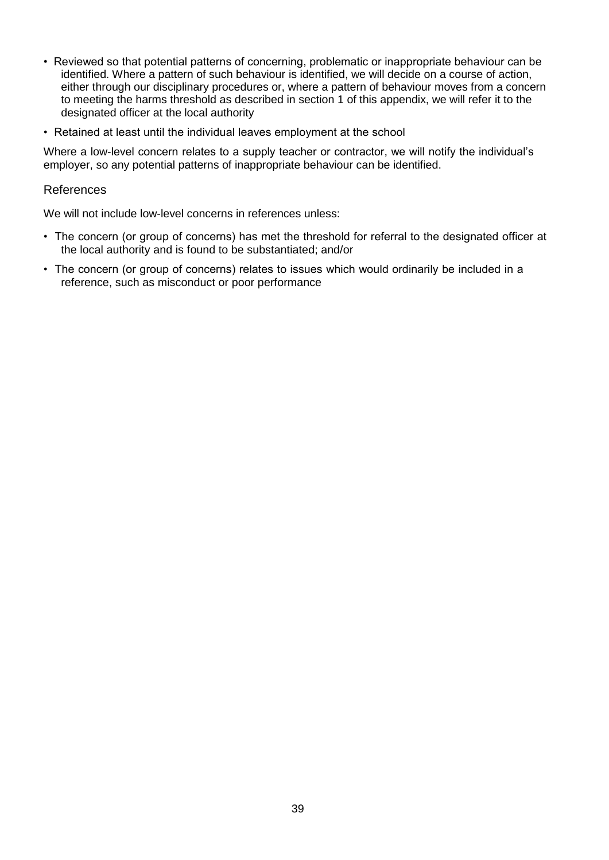- Reviewed so that potential patterns of concerning, problematic or inappropriate behaviour can be identified. Where a pattern of such behaviour is identified, we will decide on a course of action, either through our disciplinary procedures or, where a pattern of behaviour moves from a concern to meeting the harms threshold as described in section 1 of this appendix, we will refer it to the designated officer at the local authority
- Retained at least until the individual leaves employment at the school

Where a low-level concern relates to a supply teacher or contractor, we will notify the individual's employer, so any potential patterns of inappropriate behaviour can be identified.

#### References

We will not include low-level concerns in references unless:

- The concern (or group of concerns) has met the threshold for referral to the designated officer at the local authority and is found to be substantiated; and/or
- The concern (or group of concerns) relates to issues which would ordinarily be included in a reference, such as misconduct or poor performance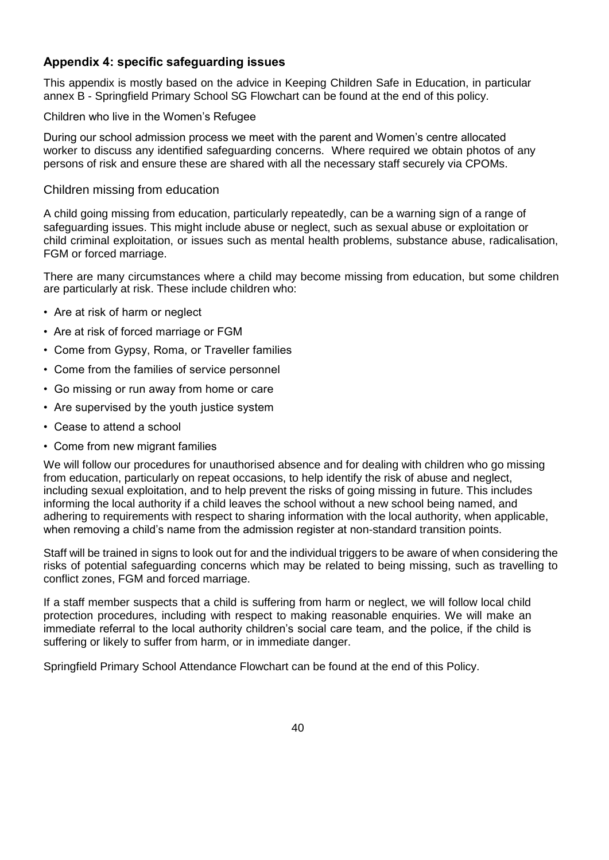# **Appendix 4: specific safeguarding issues**

This appendix is mostly based on the advice in Keeping Children Safe in Education, in particular annex B - Springfield Primary School SG Flowchart can be found at the end of this policy.

#### Children who live in the Women's Refugee

During our school admission process we meet with the parent and Women's centre allocated worker to discuss any identified safeguarding concerns. Where required we obtain photos of any persons of risk and ensure these are shared with all the necessary staff securely via CPOMs.

## Children missing from education

A child going missing from education, particularly repeatedly, can be a warning sign of a range of safeguarding issues. This might include abuse or neglect, such as sexual abuse or exploitation or child criminal exploitation, or issues such as mental health problems, substance abuse, radicalisation, FGM or forced marriage.

There are many circumstances where a child may become missing from education, but some children are particularly at risk. These include children who:

- Are at risk of harm or neglect
- Are at risk of forced marriage or FGM
- Come from Gypsy, Roma, or Traveller families
- Come from the families of service personnel
- Go missing or run away from home or care
- Are supervised by the youth justice system
- Cease to attend a school
- Come from new migrant families

We will follow our procedures for unauthorised absence and for dealing with children who go missing from education, particularly on repeat occasions, to help identify the risk of abuse and neglect, including sexual exploitation, and to help prevent the risks of going missing in future. This includes informing the local authority if a child leaves the school without a new school being named, and adhering to requirements with respect to sharing information with the local authority, when applicable, when removing a child's name from the admission register at non-standard transition points.

Staff will be trained in signs to look out for and the individual triggers to be aware of when considering the risks of potential safeguarding concerns which may be related to being missing, such as travelling to conflict zones, FGM and forced marriage.

If a staff member suspects that a child is suffering from harm or neglect, we will follow local child protection procedures, including with respect to making reasonable enquiries. We will make an immediate referral to the local authority children's social care team, and the police, if the child is suffering or likely to suffer from harm, or in immediate danger.

Springfield Primary School Attendance Flowchart can be found at the end of this Policy.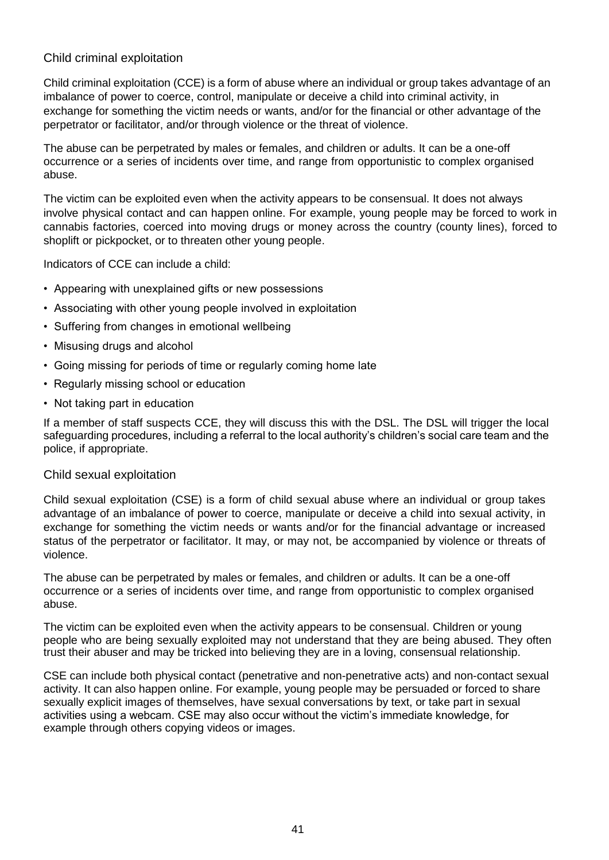# Child criminal exploitation

Child criminal exploitation (CCE) is a form of abuse where an individual or group takes advantage of an imbalance of power to coerce, control, manipulate or deceive a child into criminal activity, in exchange for something the victim needs or wants, and/or for the financial or other advantage of the perpetrator or facilitator, and/or through violence or the threat of violence.

The abuse can be perpetrated by males or females, and children or adults. It can be a one-off occurrence or a series of incidents over time, and range from opportunistic to complex organised abuse.

The victim can be exploited even when the activity appears to be consensual. It does not always involve physical contact and can happen online. For example, young people may be forced to work in cannabis factories, coerced into moving drugs or money across the country (county lines), forced to shoplift or pickpocket, or to threaten other young people.

Indicators of CCE can include a child:

- Appearing with unexplained gifts or new possessions
- Associating with other young people involved in exploitation
- Suffering from changes in emotional wellbeing
- Misusing drugs and alcohol
- Going missing for periods of time or regularly coming home late
- Regularly missing school or education
- Not taking part in education

If a member of staff suspects CCE, they will discuss this with the DSL. The DSL will trigger the local safeguarding procedures, including a referral to the local authority's children's social care team and the police, if appropriate.

#### Child sexual exploitation

Child sexual exploitation (CSE) is a form of child sexual abuse where an individual or group takes advantage of an imbalance of power to coerce, manipulate or deceive a child into sexual activity, in exchange for something the victim needs or wants and/or for the financial advantage or increased status of the perpetrator or facilitator. It may, or may not, be accompanied by violence or threats of violence.

The abuse can be perpetrated by males or females, and children or adults. It can be a one-off occurrence or a series of incidents over time, and range from opportunistic to complex organised abuse.

The victim can be exploited even when the activity appears to be consensual. Children or young people who are being sexually exploited may not understand that they are being abused. They often trust their abuser and may be tricked into believing they are in a loving, consensual relationship.

CSE can include both physical contact (penetrative and non-penetrative acts) and non-contact sexual activity. It can also happen online. For example, young people may be persuaded or forced to share sexually explicit images of themselves, have sexual conversations by text, or take part in sexual activities using a webcam. CSE may also occur without the victim's immediate knowledge, for example through others copying videos or images.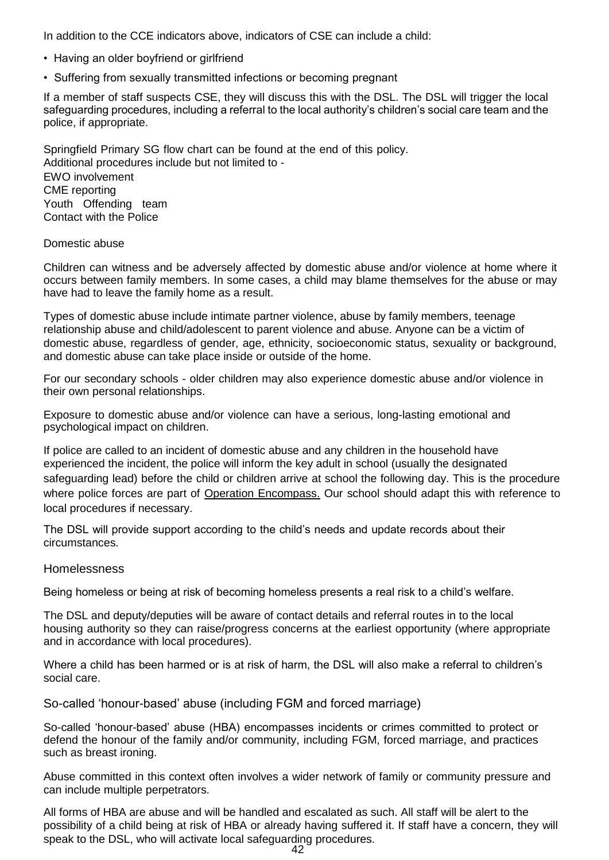In addition to the CCE indicators above, indicators of CSE can include a child:

- Having an older boyfriend or girlfriend
- Suffering from sexually transmitted infections or becoming pregnant

If a member of staff suspects CSE, they will discuss this with the DSL. The DSL will trigger the local safeguarding procedures, including a referral to the local authority's children's social care team and the police, if appropriate.

Springfield Primary SG flow chart can be found at the end of this policy. Additional procedures include but not limited to - EWO involvement CME reporting Youth Offending team Contact with the Police

#### Domestic abuse

Children can witness and be adversely affected by domestic abuse and/or violence at home where it occurs between family members. In some cases, a child may blame themselves for the abuse or may have had to leave the family home as a result.

Types of domestic abuse include intimate partner violence, abuse by family members, teenage relationship abuse and child/adolescent to parent violence and abuse. Anyone can be a victim of domestic abuse, regardless of gender, age, ethnicity, socioeconomic status, sexuality or background, and domestic abuse can take place inside or outside of the home.

For our secondary schools - older children may also experience domestic abuse and/or violence in their own personal relationships.

Exposure to domestic abuse and/or violence can have a serious, long-lasting emotional and psychological impact on children.

If police are called to an incident of domestic abuse and any children in the household have experienced the incident, the police will inform the key adult in school (usually the designated safeguarding lead) before the child or children arrive at school the following day. This is the procedure where police forces are part of [Operation Encompass.](https://www.operationencompass.org/) Our school should adapt this with reference to local procedures if necessary.

The DSL will provide support according to the child's needs and update records about their circumstances.

#### Homelessness

Being homeless or being at risk of becoming homeless presents a real risk to a child's welfare.

The DSL and deputy/deputies will be aware of contact details and referral routes in to the local housing authority so they can raise/progress concerns at the earliest opportunity (where appropriate and in accordance with local procedures).

Where a child has been harmed or is at risk of harm, the DSL will also make a referral to children's social care.

So-called 'honour-based' abuse (including FGM and forced marriage)

So-called 'honour-based' abuse (HBA) encompasses incidents or crimes committed to protect or defend the honour of the family and/or community, including FGM, forced marriage, and practices such as breast ironing.

Abuse committed in this context often involves a wider network of family or community pressure and can include multiple perpetrators.

All forms of HBA are abuse and will be handled and escalated as such. All staff will be alert to the possibility of a child being at risk of HBA or already having suffered it. If staff have a concern, they will speak to the DSL, who will activate local safeguarding procedures.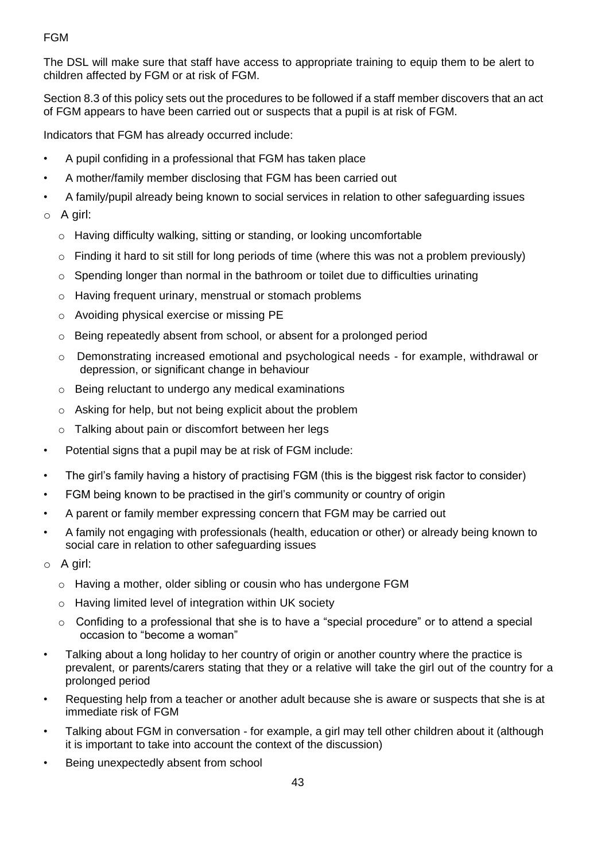# FGM

The DSL will make sure that staff have access to appropriate training to equip them to be alert to children affected by FGM or at risk of FGM.

Section 8.3 of this policy sets out the procedures to be followed if a staff member discovers that an act of FGM appears to have been carried out or suspects that a pupil is at risk of FGM.

Indicators that FGM has already occurred include:

- A pupil confiding in a professional that FGM has taken place
- A mother/family member disclosing that FGM has been carried out
- A family/pupil already being known to social services in relation to other safeguarding issues
- o A girl:
	- o Having difficulty walking, sitting or standing, or looking uncomfortable
	- $\circ$  Finding it hard to sit still for long periods of time (where this was not a problem previously)
	- $\circ$  Spending longer than normal in the bathroom or toilet due to difficulties urinating
	- o Having frequent urinary, menstrual or stomach problems
	- o Avoiding physical exercise or missing PE
	- o Being repeatedly absent from school, or absent for a prolonged period
	- o Demonstrating increased emotional and psychological needs for example, withdrawal or depression, or significant change in behaviour
	- o Being reluctant to undergo any medical examinations
	- o Asking for help, but not being explicit about the problem
	- o Talking about pain or discomfort between her legs
- Potential signs that a pupil may be at risk of FGM include:
- The girl's family having a history of practising FGM (this is the biggest risk factor to consider)
- FGM being known to be practised in the girl's community or country of origin
- A parent or family member expressing concern that FGM may be carried out
- A family not engaging with professionals (health, education or other) or already being known to social care in relation to other safeguarding issues
- o A girl:
	- o Having a mother, older sibling or cousin who has undergone FGM
	- o Having limited level of integration within UK society
	- $\circ$  Confiding to a professional that she is to have a "special procedure" or to attend a special occasion to "become a woman"
- Talking about a long holiday to her country of origin or another country where the practice is prevalent, or parents/carers stating that they or a relative will take the girl out of the country for a prolonged period
- Requesting help from a teacher or another adult because she is aware or suspects that she is at immediate risk of FGM
- Talking about FGM in conversation for example, a girl may tell other children about it (although it is important to take into account the context of the discussion)
- Being unexpectedly absent from school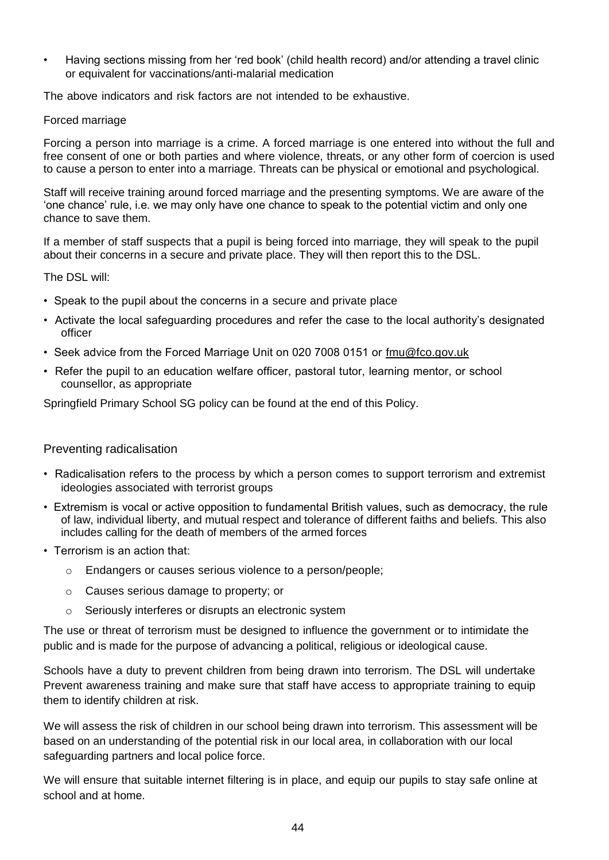• Having sections missing from her 'red book' (child health record) and/or attending a travel clinic or equivalent for vaccinations/anti-malarial medication

The above indicators and risk factors are not intended to be exhaustive.

#### Forced marriage

Forcing a person into marriage is a crime. A forced marriage is one entered into without the full and free consent of one or both parties and where violence, threats, or any other form of coercion is used to cause a person to enter into a marriage. Threats can be physical or emotional and psychological.

Staff will receive training around forced marriage and the presenting symptoms. We are aware of the 'one chance' rule, i.e. we may only have one chance to speak to the potential victim and only one chance to save them.

If a member of staff suspects that a pupil is being forced into marriage, they will speak to the pupil about their concerns in a secure and private place. They will then report this to the DSL.

The DSL will:

- Speak to the pupil about the concerns in a secure and private place
- Activate the local safeguarding procedures and refer the case to the local authority's designated officer
- Seek advice from the Forced Marriage Unit on 020 7008 0151 or [fmu@fco.gov.uk](mailto:fmu@fco.gov.uk)
- Refer the pupil to an education welfare officer, pastoral tutor, learning mentor, or school counsellor, as appropriate

Springfield Primary School SG policy can be found at the end of this Policy.

#### Preventing radicalisation

- Radicalisation refers to the process by which a person comes to support terrorism and extremist ideologies associated with terrorist groups
- Extremism is vocal or active opposition to fundamental British values, such as democracy, the rule of law, individual liberty, and mutual respect and tolerance of different faiths and beliefs. This also includes calling for the death of members of the armed forces
- Terrorism is an action that:
	- o Endangers or causes serious violence to a person/people;
	- o Causes serious damage to property; or
	- o Seriously interferes or disrupts an electronic system

The use or threat of terrorism must be designed to influence the government or to intimidate the public and is made for the purpose of advancing a political, religious or ideological cause.

Schools have a duty to prevent children from being drawn into terrorism. The DSL will undertake Prevent awareness training and make sure that staff have access to appropriate training to equip them to identify children at risk.

We will assess the risk of children in our school being drawn into terrorism. This assessment will be based on an understanding of the potential risk in our local area, in collaboration with our local safeguarding partners and local police force.

We will ensure that suitable internet filtering is in place, and equip our pupils to stay safe online at school and at home.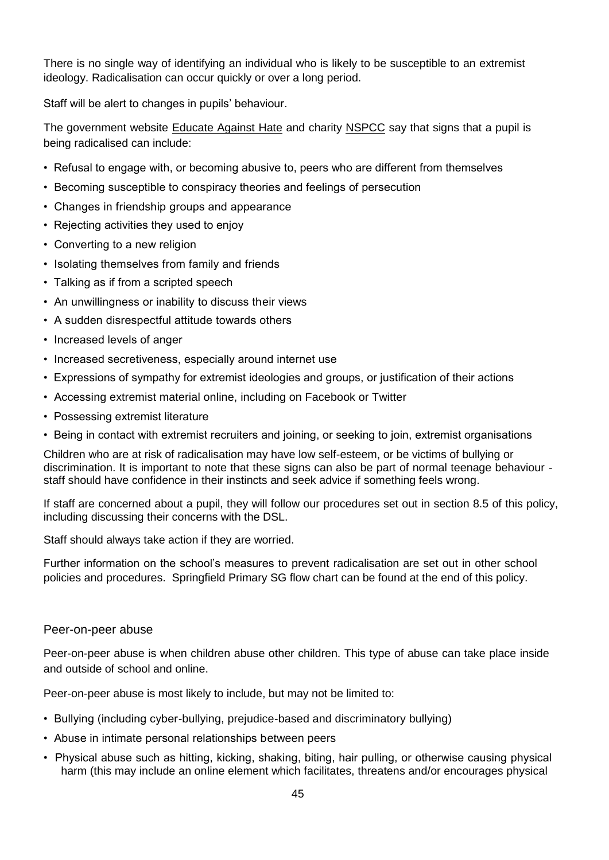There is no single way of identifying an individual who is likely to be susceptible to an extremist ideology. Radicalisation can occur quickly or over a long period.

Staff will be alert to changes in pupils' behaviour.

The government website [Educate Against Hate](http://educateagainsthate.com/parents/what-are-the-warning-signs/) and charity [NSPCC](https://www.nspcc.org.uk/what-you-can-do/report-abuse/dedicated-helplines/protecting-children-from-radicalisation/) say that signs that a pupil is being radicalised can include:

- Refusal to engage with, or becoming abusive to, peers who are different from themselves
- Becoming susceptible to conspiracy theories and feelings of persecution
- Changes in friendship groups and appearance
- Rejecting activities they used to enjoy
- Converting to a new religion
- Isolating themselves from family and friends
- Talking as if from a scripted speech
- An unwillingness or inability to discuss their views
- A sudden disrespectful attitude towards others
- Increased levels of anger
- Increased secretiveness, especially around internet use
- Expressions of sympathy for extremist ideologies and groups, or justification of their actions
- Accessing extremist material online, including on Facebook or Twitter
- Possessing extremist literature
- Being in contact with extremist recruiters and joining, or seeking to join, extremist organisations

Children who are at risk of radicalisation may have low self-esteem, or be victims of bullying or discrimination. It is important to note that these signs can also be part of normal teenage behaviour staff should have confidence in their instincts and seek advice if something feels wrong.

If staff are concerned about a pupil, they will follow our procedures set out in section 8.5 of this policy, including discussing their concerns with the DSL.

Staff should always take action if they are worried.

Further information on the school's measures to prevent radicalisation are set out in other school policies and procedures. Springfield Primary SG flow chart can be found at the end of this policy.

#### Peer-on-peer abuse

Peer-on-peer abuse is when children abuse other children. This type of abuse can take place inside and outside of school and online.

Peer-on-peer abuse is most likely to include, but may not be limited to:

- Bullying (including cyber-bullying, prejudice-based and discriminatory bullying)
- Abuse in intimate personal relationships between peers
- Physical abuse such as hitting, kicking, shaking, biting, hair pulling, or otherwise causing physical harm (this may include an online element which facilitates, threatens and/or encourages physical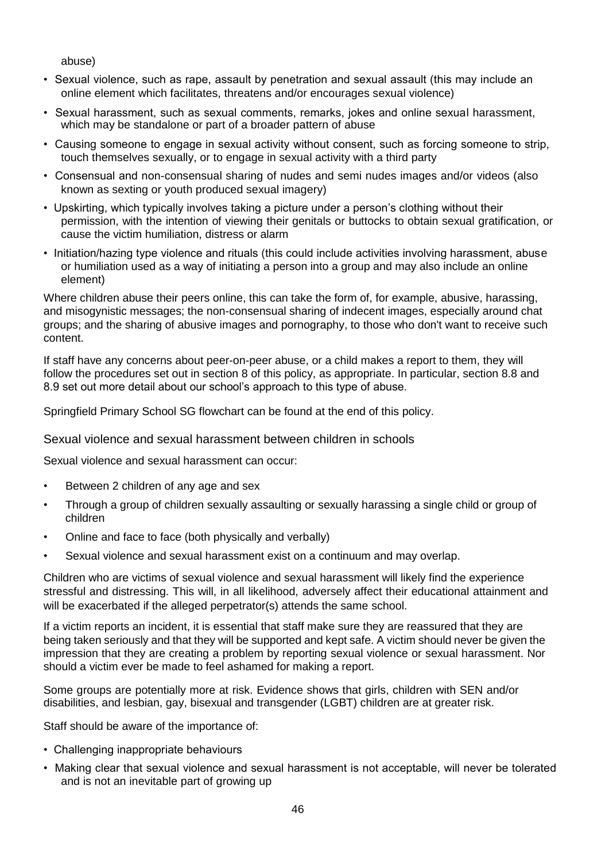abuse)

- Sexual violence, such as rape, assault by penetration and sexual assault (this may include an online element which facilitates, threatens and/or encourages sexual violence)
- Sexual harassment, such as sexual comments, remarks, jokes and online sexual harassment, which may be standalone or part of a broader pattern of abuse
- Causing someone to engage in sexual activity without consent, such as forcing someone to strip, touch themselves sexually, or to engage in sexual activity with a third party
- Consensual and non-consensual sharing of nudes and semi nudes images and/or videos (also known as sexting or youth produced sexual imagery)
- Upskirting, which typically involves taking a picture under a person's clothing without their permission, with the intention of viewing their genitals or buttocks to obtain sexual gratification, or cause the victim humiliation, distress or alarm
- Initiation/hazing type violence and rituals (this could include activities involving harassment, abuse or humiliation used as a way of initiating a person into a group and may also include an online element)

Where children abuse their peers online, this can take the form of, for example, abusive, harassing, and misogynistic messages; the non-consensual sharing of indecent images, especially around chat groups; and the sharing of abusive images and pornography, to those who don't want to receive such content.

If staff have any concerns about peer-on-peer abuse, or a child makes a report to them, they will follow the procedures set out in section 8 of this policy, as appropriate. In particular, section 8.8 and 8.9 set out more detail about our school's approach to this type of abuse.

Springfield Primary School SG flowchart can be found at the end of this policy.

Sexual violence and sexual harassment between children in schools

Sexual violence and sexual harassment can occur:

- Between 2 children of any age and sex
- Through a group of children sexually assaulting or sexually harassing a single child or group of children
- Online and face to face (both physically and verbally)
- Sexual violence and sexual harassment exist on a continuum and may overlap.

Children who are victims of sexual violence and sexual harassment will likely find the experience stressful and distressing. This will, in all likelihood, adversely affect their educational attainment and will be exacerbated if the alleged perpetrator(s) attends the same school.

If a victim reports an incident, it is essential that staff make sure they are reassured that they are being taken seriously and that they will be supported and kept safe. A victim should never be given the impression that they are creating a problem by reporting sexual violence or sexual harassment. Nor should a victim ever be made to feel ashamed for making a report.

Some groups are potentially more at risk. Evidence shows that girls, children with SEN and/or disabilities, and lesbian, gay, bisexual and transgender (LGBT) children are at greater risk.

Staff should be aware of the importance of:

- Challenging inappropriate behaviours
- Making clear that sexual violence and sexual harassment is not acceptable, will never be tolerated and is not an inevitable part of growing up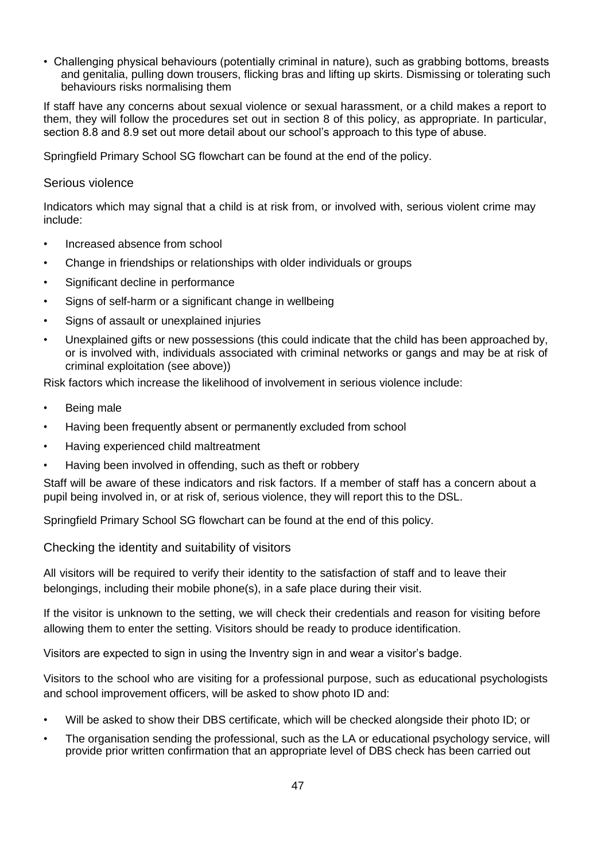• Challenging physical behaviours (potentially criminal in nature), such as grabbing bottoms, breasts and genitalia, pulling down trousers, flicking bras and lifting up skirts. Dismissing or tolerating such behaviours risks normalising them

If staff have any concerns about sexual violence or sexual harassment, or a child makes a report to them, they will follow the procedures set out in section 8 of this policy, as appropriate. In particular, section 8.8 and 8.9 set out more detail about our school's approach to this type of abuse.

Springfield Primary School SG flowchart can be found at the end of the policy.

## Serious violence

Indicators which may signal that a child is at risk from, or involved with, serious violent crime may include:

- Increased absence from school
- Change in friendships or relationships with older individuals or groups
- Significant decline in performance
- Signs of self-harm or a significant change in wellbeing
- Signs of assault or unexplained injuries
- Unexplained gifts or new possessions (this could indicate that the child has been approached by, or is involved with, individuals associated with criminal networks or gangs and may be at risk of criminal exploitation (see above))

Risk factors which increase the likelihood of involvement in serious violence include:

- Being male
- Having been frequently absent or permanently excluded from school
- Having experienced child maltreatment
- Having been involved in offending, such as theft or robbery

Staff will be aware of these indicators and risk factors. If a member of staff has a concern about a pupil being involved in, or at risk of, serious violence, they will report this to the DSL.

Springfield Primary School SG flowchart can be found at the end of this policy.

Checking the identity and suitability of visitors

All visitors will be required to verify their identity to the satisfaction of staff and to leave their belongings, including their mobile phone(s), in a safe place during their visit.

If the visitor is unknown to the setting, we will check their credentials and reason for visiting before allowing them to enter the setting. Visitors should be ready to produce identification.

Visitors are expected to sign in using the Inventry sign in and wear a visitor's badge.

Visitors to the school who are visiting for a professional purpose, such as educational psychologists and school improvement officers, will be asked to show photo ID and:

- Will be asked to show their DBS certificate, which will be checked alongside their photo ID; or
- The organisation sending the professional, such as the LA or educational psychology service, will provide prior written confirmation that an appropriate level of DBS check has been carried out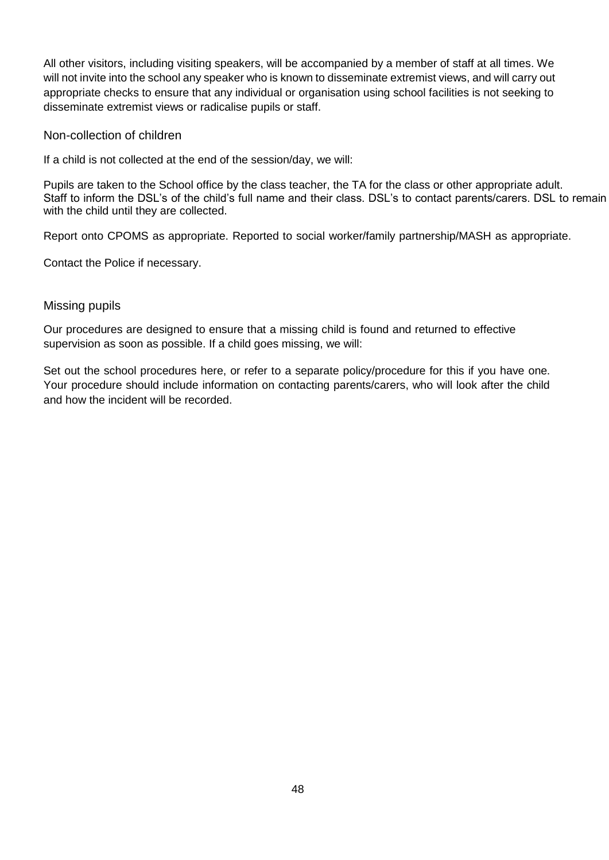All other visitors, including visiting speakers, will be accompanied by a member of staff at all times. We will not invite into the school any speaker who is known to disseminate extremist views, and will carry out appropriate checks to ensure that any individual or organisation using school facilities is not seeking to disseminate extremist views or radicalise pupils or staff.

Non-collection of children

If a child is not collected at the end of the session/day, we will:

Pupils are taken to the School office by the class teacher, the TA for the class or other appropriate adult. Staff to inform the DSL's of the child's full name and their class. DSL's to contact parents/carers. DSL to remain with the child until they are collected.

Report onto CPOMS as appropriate. Reported to social worker/family partnership/MASH as appropriate.

Contact the Police if necessary.

## Missing pupils

Our procedures are designed to ensure that a missing child is found and returned to effective supervision as soon as possible. If a child goes missing, we will:

Set out the school procedures here, or refer to a separate policy/procedure for this if you have one. Your procedure should include information on contacting parents/carers, who will look after the child and how the incident will be recorded.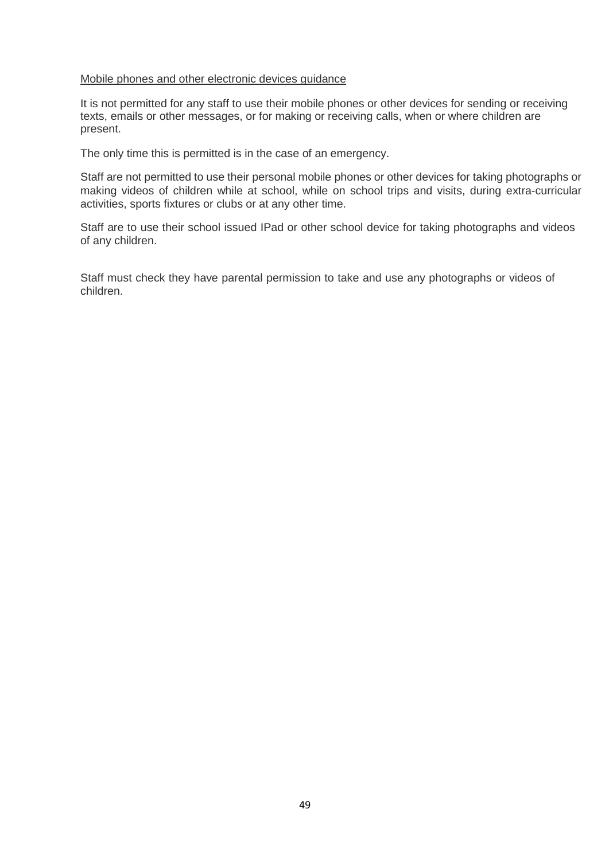#### Mobile phones and other electronic devices guidance

It is not permitted for any staff to use their mobile phones or other devices for sending or receiving texts, emails or other messages, or for making or receiving calls, when or where children are present.

The only time this is permitted is in the case of an emergency.

Staff are not permitted to use their personal mobile phones or other devices for taking photographs or making videos of children while at school, while on school trips and visits, during extra-curricular activities, sports fixtures or clubs or at any other time.

Staff are to use their school issued IPad or other school device for taking photographs and videos of any children.

Staff must check they have parental permission to take and use any photographs or videos of children.